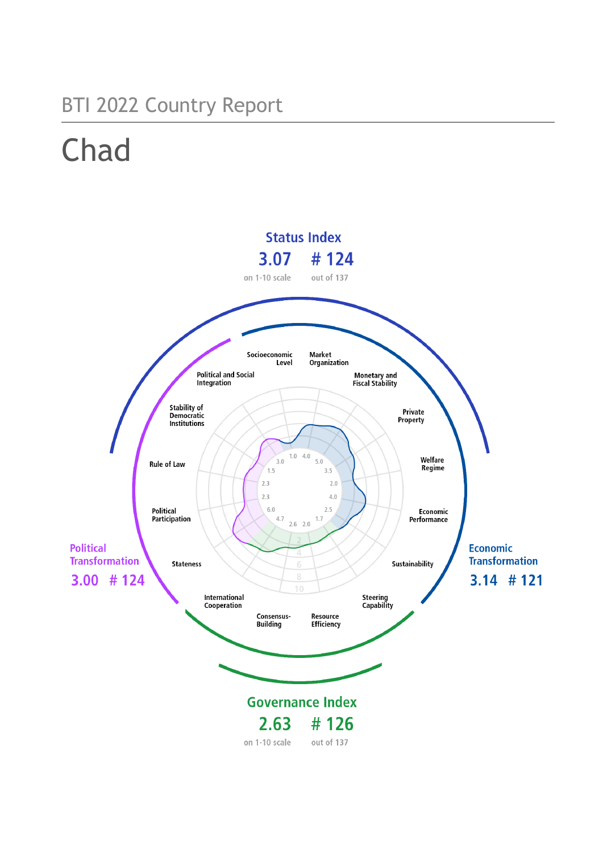## BTI 2022 Country Report

# Chad

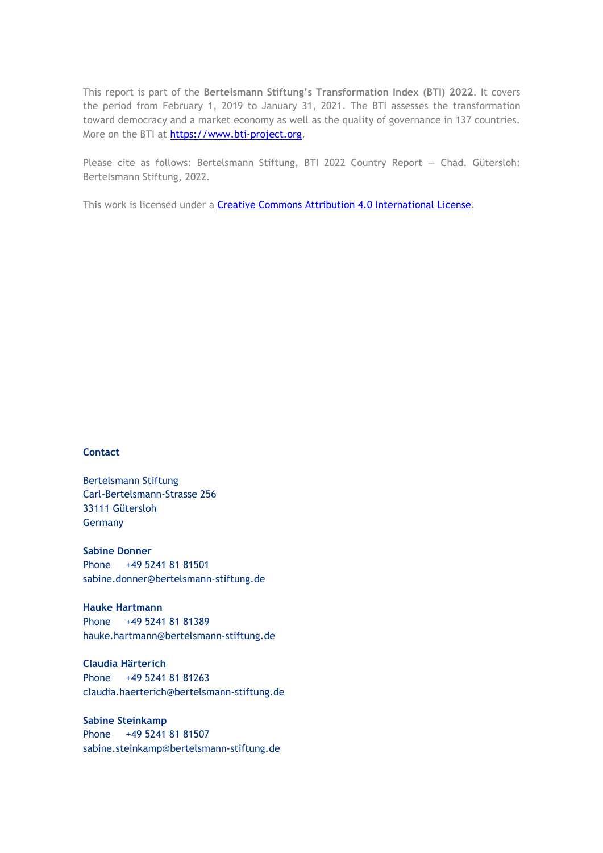This report is part of the **Bertelsmann Stiftung's Transformation Index (BTI) 2022**. It covers the period from February 1, 2019 to January 31, 2021. The BTI assesses the transformation toward democracy and a market economy as well as the quality of governance in 137 countries. More on the BTI at [https://www.bti-project.org.](https://www.bti-project.org/)

Please cite as follows: Bertelsmann Stiftung, BTI 2022 Country Report — Chad. Gütersloh: Bertelsmann Stiftung, 2022.

This work is licensed under a **Creative Commons Attribution 4.0 International License**.

#### **Contact**

Bertelsmann Stiftung Carl-Bertelsmann-Strasse 256 33111 Gütersloh Germany

**Sabine Donner** Phone +49 5241 81 81501 sabine.donner@bertelsmann-stiftung.de

**Hauke Hartmann** Phone +49 5241 81 81389 hauke.hartmann@bertelsmann-stiftung.de

**Claudia Härterich** Phone +49 5241 81 81263 claudia.haerterich@bertelsmann-stiftung.de

#### **Sabine Steinkamp** Phone +49 5241 81 81507 sabine.steinkamp@bertelsmann-stiftung.de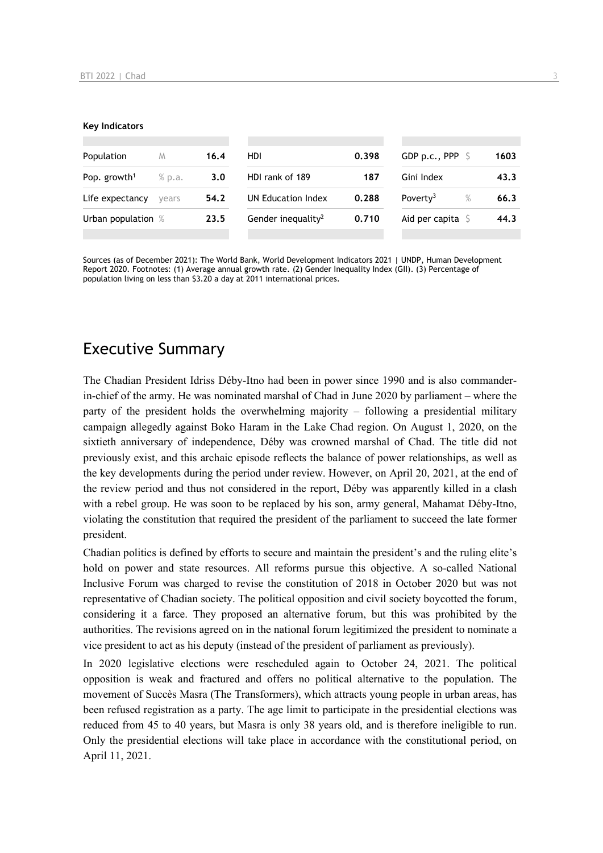#### **Key Indicators**

| Population<br>M          |        | 16.4 | HDI                            |       | GDP p.c., PPP $\ S$          | 1603 |
|--------------------------|--------|------|--------------------------------|-------|------------------------------|------|
| Pop. growth <sup>1</sup> | % p.a. | 3.0  | HDI rank of 189                | 187   | Gini Index                   | 43.3 |
| Life expectancy          | vears  | 54.2 | UN Education Index             | 0.288 | Poverty <sup>3</sup><br>$\%$ | 66.3 |
| Urban population %       |        | 23.5 | Gender inequality <sup>2</sup> | 0.710 | Aid per capita $\mathsf S$   | 44.3 |
|                          |        |      |                                |       |                              |      |

Sources (as of December 2021): The World Bank, World Development Indicators 2021 | UNDP, Human Development Report 2020. Footnotes: (1) Average annual growth rate. (2) Gender Inequality Index (GII). (3) Percentage of population living on less than \$3.20 a day at 2011 international prices.

## Executive Summary

The Chadian President Idriss Déby-Itno had been in power since 1990 and is also commanderin-chief of the army. He was nominated marshal of Chad in June 2020 by parliament – where the party of the president holds the overwhelming majority – following a presidential military campaign allegedly against Boko Haram in the Lake Chad region. On August 1, 2020, on the sixtieth anniversary of independence, Déby was crowned marshal of Chad. The title did not previously exist, and this archaic episode reflects the balance of power relationships, as well as the key developments during the period under review. However, on April 20, 2021, at the end of the review period and thus not considered in the report, Déby was apparently killed in a clash with a rebel group. He was soon to be replaced by his son, army general, Mahamat Déby-Itno, violating the constitution that required the president of the parliament to succeed the late former president.

Chadian politics is defined by efforts to secure and maintain the president's and the ruling elite's hold on power and state resources. All reforms pursue this objective. A so-called National Inclusive Forum was charged to revise the constitution of 2018 in October 2020 but was not representative of Chadian society. The political opposition and civil society boycotted the forum, considering it a farce. They proposed an alternative forum, but this was prohibited by the authorities. The revisions agreed on in the national forum legitimized the president to nominate a vice president to act as his deputy (instead of the president of parliament as previously).

In 2020 legislative elections were rescheduled again to October 24, 2021. The political opposition is weak and fractured and offers no political alternative to the population. The movement of Succès Masra (The Transformers), which attracts young people in urban areas, has been refused registration as a party. The age limit to participate in the presidential elections was reduced from 45 to 40 years, but Masra is only 38 years old, and is therefore ineligible to run. Only the presidential elections will take place in accordance with the constitutional period, on April 11, 2021.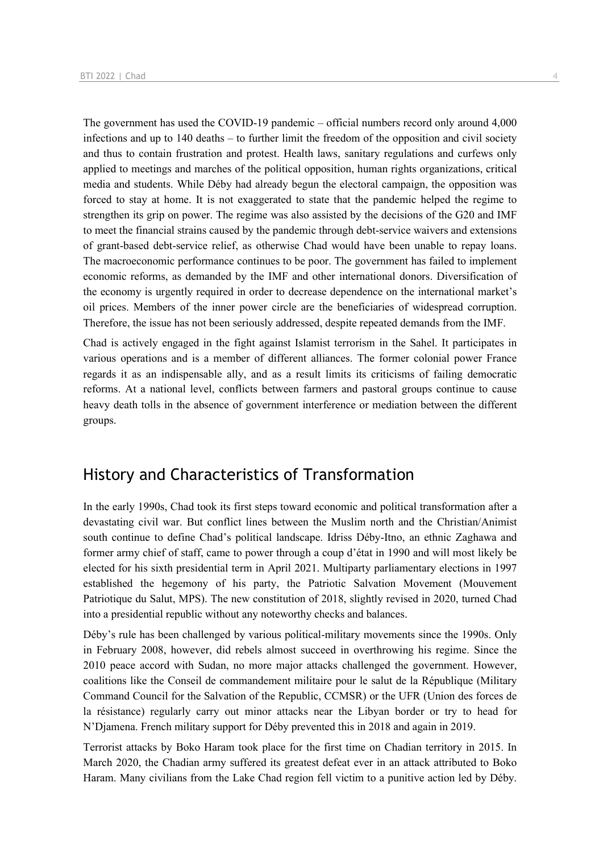The government has used the COVID-19 pandemic – official numbers record only around 4,000 infections and up to 140 deaths – to further limit the freedom of the opposition and civil society and thus to contain frustration and protest. Health laws, sanitary regulations and curfews only applied to meetings and marches of the political opposition, human rights organizations, critical media and students. While Déby had already begun the electoral campaign, the opposition was forced to stay at home. It is not exaggerated to state that the pandemic helped the regime to strengthen its grip on power. The regime was also assisted by the decisions of the G20 and IMF to meet the financial strains caused by the pandemic through debt-service waivers and extensions of grant-based debt-service relief, as otherwise Chad would have been unable to repay loans. The macroeconomic performance continues to be poor. The government has failed to implement economic reforms, as demanded by the IMF and other international donors. Diversification of the economy is urgently required in order to decrease dependence on the international market's oil prices. Members of the inner power circle are the beneficiaries of widespread corruption. Therefore, the issue has not been seriously addressed, despite repeated demands from the IMF.

Chad is actively engaged in the fight against Islamist terrorism in the Sahel. It participates in various operations and is a member of different alliances. The former colonial power France regards it as an indispensable ally, and as a result limits its criticisms of failing democratic reforms. At a national level, conflicts between farmers and pastoral groups continue to cause heavy death tolls in the absence of government interference or mediation between the different groups.

## History and Characteristics of Transformation

In the early 1990s, Chad took its first steps toward economic and political transformation after a devastating civil war. But conflict lines between the Muslim north and the Christian/Animist south continue to define Chad's political landscape. Idriss Déby-Itno, an ethnic Zaghawa and former army chief of staff, came to power through a coup d'état in 1990 and will most likely be elected for his sixth presidential term in April 2021. Multiparty parliamentary elections in 1997 established the hegemony of his party, the Patriotic Salvation Movement (Mouvement Patriotique du Salut, MPS). The new constitution of 2018, slightly revised in 2020, turned Chad into a presidential republic without any noteworthy checks and balances.

Déby's rule has been challenged by various political-military movements since the 1990s. Only in February 2008, however, did rebels almost succeed in overthrowing his regime. Since the 2010 peace accord with Sudan, no more major attacks challenged the government. However, coalitions like the Conseil de commandement militaire pour le salut de la République (Military Command Council for the Salvation of the Republic, CCMSR) or the UFR (Union des forces de la résistance) regularly carry out minor attacks near the Libyan border or try to head for N'Djamena. French military support for Déby prevented this in 2018 and again in 2019.

Terrorist attacks by Boko Haram took place for the first time on Chadian territory in 2015. In March 2020, the Chadian army suffered its greatest defeat ever in an attack attributed to Boko Haram. Many civilians from the Lake Chad region fell victim to a punitive action led by Déby.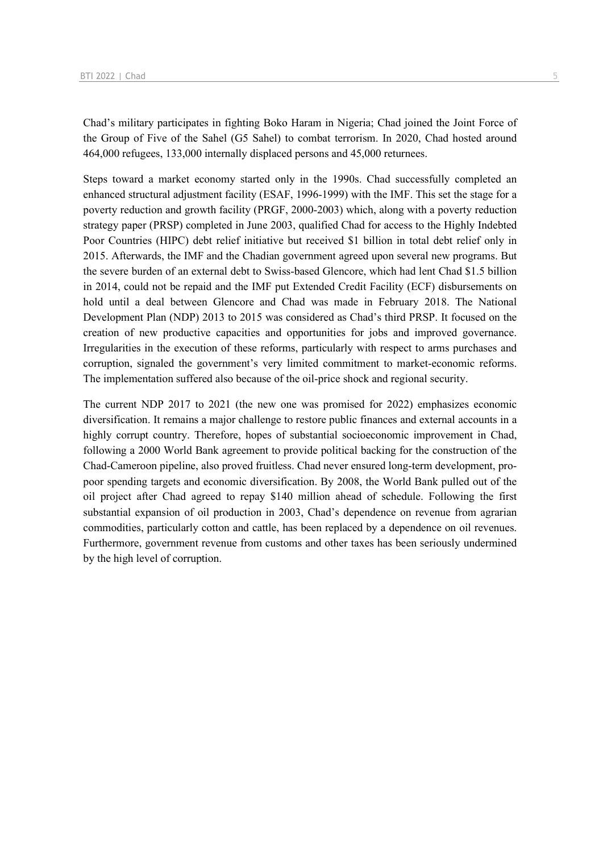Chad's military participates in fighting Boko Haram in Nigeria; Chad joined the Joint Force of the Group of Five of the Sahel (G5 Sahel) to combat terrorism. In 2020, Chad hosted around 464,000 refugees, 133,000 internally displaced persons and 45,000 returnees.

Steps toward a market economy started only in the 1990s. Chad successfully completed an enhanced structural adjustment facility (ESAF, 1996-1999) with the IMF. This set the stage for a poverty reduction and growth facility (PRGF, 2000-2003) which, along with a poverty reduction strategy paper (PRSP) completed in June 2003, qualified Chad for access to the Highly Indebted Poor Countries (HIPC) debt relief initiative but received \$1 billion in total debt relief only in 2015. Afterwards, the IMF and the Chadian government agreed upon several new programs. But the severe burden of an external debt to Swiss-based Glencore, which had lent Chad \$1.5 billion in 2014, could not be repaid and the IMF put Extended Credit Facility (ECF) disbursements on hold until a deal between Glencore and Chad was made in February 2018. The National Development Plan (NDP) 2013 to 2015 was considered as Chad's third PRSP. It focused on the creation of new productive capacities and opportunities for jobs and improved governance. Irregularities in the execution of these reforms, particularly with respect to arms purchases and corruption, signaled the government's very limited commitment to market-economic reforms. The implementation suffered also because of the oil-price shock and regional security.

The current NDP 2017 to 2021 (the new one was promised for 2022) emphasizes economic diversification. It remains a major challenge to restore public finances and external accounts in a highly corrupt country. Therefore, hopes of substantial socioeconomic improvement in Chad, following a 2000 World Bank agreement to provide political backing for the construction of the Chad-Cameroon pipeline, also proved fruitless. Chad never ensured long-term development, propoor spending targets and economic diversification. By 2008, the World Bank pulled out of the oil project after Chad agreed to repay \$140 million ahead of schedule. Following the first substantial expansion of oil production in 2003, Chad's dependence on revenue from agrarian commodities, particularly cotton and cattle, has been replaced by a dependence on oil revenues. Furthermore, government revenue from customs and other taxes has been seriously undermined by the high level of corruption.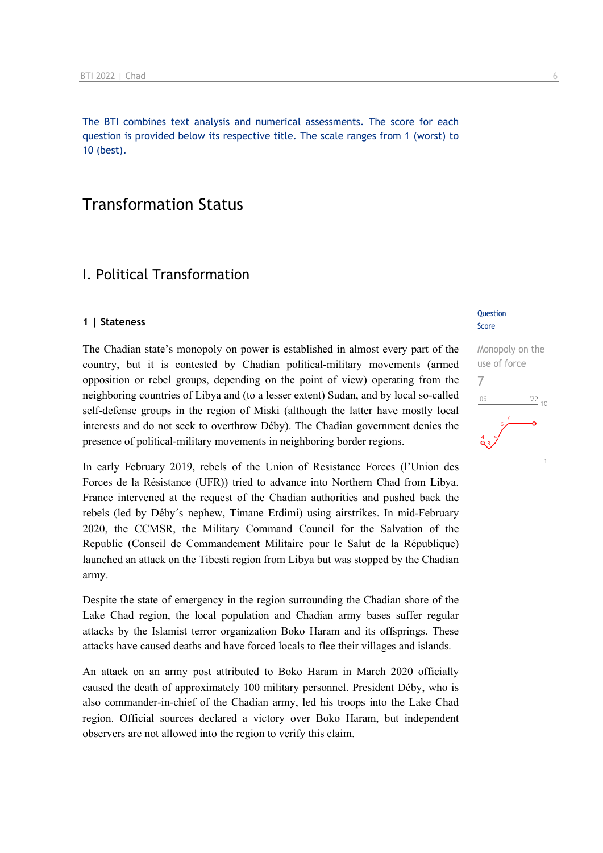The BTI combines text analysis and numerical assessments. The score for each question is provided below its respective title. The scale ranges from 1 (worst) to 10 (best).

## Transformation Status

## I. Political Transformation

#### **1 | Stateness**

The Chadian state's monopoly on power is established in almost every part of the country, but it is contested by Chadian political-military movements (armed opposition or rebel groups, depending on the point of view) operating from the neighboring countries of Libya and (to a lesser extent) Sudan, and by local so-called self-defense groups in the region of Miski (although the latter have mostly local interests and do not seek to overthrow Déby). The Chadian government denies the presence of political-military movements in neighboring border regions.

In early February 2019, rebels of the Union of Resistance Forces (l'Union des Forces de la Résistance (UFR)) tried to advance into Northern Chad from Libya. France intervened at the request of the Chadian authorities and pushed back the rebels (led by Déby´s nephew, Timane Erdimi) using airstrikes. In mid-February 2020, the CCMSR, the Military Command Council for the Salvation of the Republic (Conseil de Commandement Militaire pour le Salut de la République) launched an attack on the Tibesti region from Libya but was stopped by the Chadian army.

Despite the state of emergency in the region surrounding the Chadian shore of the Lake Chad region, the local population and Chadian army bases suffer regular attacks by the Islamist terror organization Boko Haram and its offsprings. These attacks have caused deaths and have forced locals to flee their villages and islands.

An attack on an army post attributed to Boko Haram in March 2020 officially caused the death of approximately 100 military personnel. President Déby, who is also commander-in-chief of the Chadian army, led his troops into the Lake Chad region. Official sources declared a victory over Boko Haram, but independent observers are not allowed into the region to verify this claim.

#### **Question** Score

Monopoly on the use of force 7 $\frac{22}{10}$  $106$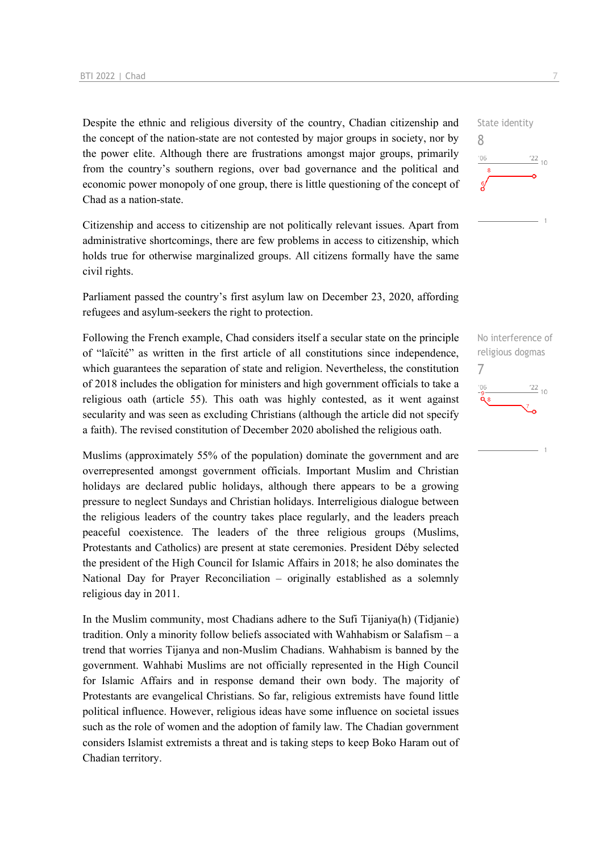Despite the ethnic and religious diversity of the country, Chadian citizenship and the concept of the nation-state are not contested by major groups in society, nor by the power elite. Although there are frustrations amongst major groups, primarily from the country's southern regions, over bad governance and the political and economic power monopoly of one group, there is little questioning of the concept of Chad as a nation-state.

Citizenship and access to citizenship are not politically relevant issues. Apart from administrative shortcomings, there are few problems in access to citizenship, which holds true for otherwise marginalized groups. All citizens formally have the same civil rights.

Parliament passed the country's first asylum law on December 23, 2020, affording refugees and asylum-seekers the right to protection.

Following the French example, Chad considers itself a secular state on the principle of "laïcité" as written in the first article of all constitutions since independence, which guarantees the separation of state and religion. Nevertheless, the constitution of 2018 includes the obligation for ministers and high government officials to take a religious oath (article 55). This oath was highly contested, as it went against secularity and was seen as excluding Christians (although the article did not specify a faith). The revised constitution of December 2020 abolished the religious oath.

Muslims (approximately 55% of the population) dominate the government and are overrepresented amongst government officials. Important Muslim and Christian holidays are declared public holidays, although there appears to be a growing pressure to neglect Sundays and Christian holidays. Interreligious dialogue between the religious leaders of the country takes place regularly, and the leaders preach peaceful coexistence. The leaders of the three religious groups (Muslims, Protestants and Catholics) are present at state ceremonies. President Déby selected the president of the High Council for Islamic Affairs in 2018; he also dominates the National Day for Prayer Reconciliation – originally established as a solemnly religious day in 2011.

In the Muslim community, most Chadians adhere to the Sufi Tijaniya(h) (Tidjanie) tradition. Only a minority follow beliefs associated with Wahhabism or Salafism – a trend that worries Tijanya and non-Muslim Chadians. Wahhabism is banned by the government. Wahhabi Muslims are not officially represented in the High Council for Islamic Affairs and in response demand their own body. The majority of Protestants are evangelical Christians. So far, religious extremists have found little political influence. However, religious ideas have some influence on societal issues such as the role of women and the adoption of family law. The Chadian government considers Islamist extremists a threat and is taking steps to keep Boko Haram out of Chadian territory.



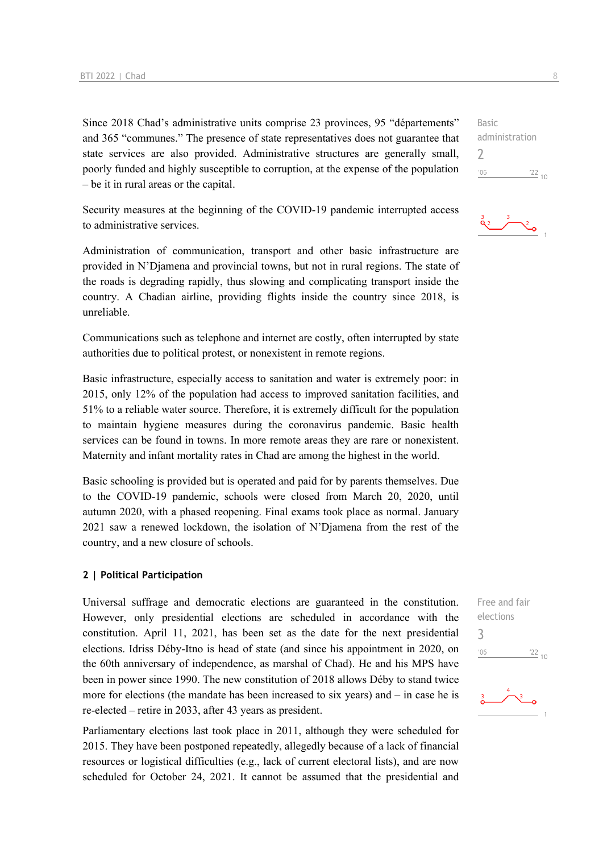Since 2018 Chad's administrative units comprise 23 provinces, 95 "départements" and 365 "communes." The presence of state representatives does not guarantee that state services are also provided. Administrative structures are generally small, poorly funded and highly susceptible to corruption, at the expense of the population – be it in rural areas or the capital.

Security measures at the beginning of the COVID-19 pandemic interrupted access to administrative services.

Administration of communication, transport and other basic infrastructure are provided in N'Djamena and provincial towns, but not in rural regions. The state of the roads is degrading rapidly, thus slowing and complicating transport inside the country. A Chadian airline, providing flights inside the country since 2018, is unreliable.

Communications such as telephone and internet are costly, often interrupted by state authorities due to political protest, or nonexistent in remote regions.

Basic infrastructure, especially access to sanitation and water is extremely poor: in 2015, only 12% of the population had access to improved sanitation facilities, and 51% to a reliable water source. Therefore, it is extremely difficult for the population to maintain hygiene measures during the coronavirus pandemic. Basic health services can be found in towns. In more remote areas they are rare or nonexistent. Maternity and infant mortality rates in Chad are among the highest in the world.

Basic schooling is provided but is operated and paid for by parents themselves. Due to the COVID-19 pandemic, schools were closed from March 20, 2020, until autumn 2020, with a phased reopening. Final exams took place as normal. January 2021 saw a renewed lockdown, the isolation of N'Djamena from the rest of the country, and a new closure of schools.

#### **2 | Political Participation**

Universal suffrage and democratic elections are guaranteed in the constitution. However, only presidential elections are scheduled in accordance with the constitution. April 11, 2021, has been set as the date for the next presidential elections. Idriss Déby-Itno is head of state (and since his appointment in 2020, on the 60th anniversary of independence, as marshal of Chad). He and his MPS have been in power since 1990. The new constitution of 2018 allows Déby to stand twice more for elections (the mandate has been increased to six years) and – in case he is re-elected – retire in 2033, after 43 years as president.

Parliamentary elections last took place in 2011, although they were scheduled for 2015. They have been postponed repeatedly, allegedly because of a lack of financial resources or logistical difficulties (e.g., lack of current electoral lists), and are now scheduled for October 24, 2021. It cannot be assumed that the presidential and

Basic administration  $\overline{\phantom{a}}$  $^{\prime}06$  $\frac{22}{10}$ 

 $\sum_{i=1}^{n}$ 



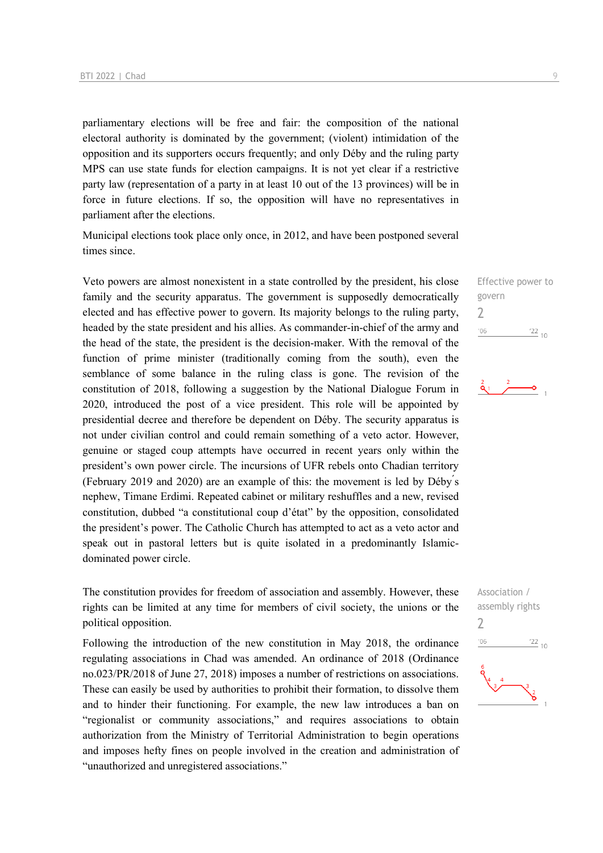parliamentary elections will be free and fair: the composition of the national electoral authority is dominated by the government; (violent) intimidation of the opposition and its supporters occurs frequently; and only Déby and the ruling party MPS can use state funds for election campaigns. It is not yet clear if a restrictive party law (representation of a party in at least 10 out of the 13 provinces) will be in force in future elections. If so, the opposition will have no representatives in parliament after the elections.

Municipal elections took place only once, in 2012, and have been postponed several times since.

Veto powers are almost nonexistent in a state controlled by the president, his close family and the security apparatus. The government is supposedly democratically elected and has effective power to govern. Its majority belongs to the ruling party, headed by the state president and his allies. As commander-in-chief of the army and the head of the state, the president is the decision-maker. With the removal of the function of prime minister (traditionally coming from the south), even the semblance of some balance in the ruling class is gone. The revision of the constitution of 2018, following a suggestion by the National Dialogue Forum in 2020, introduced the post of a vice president. This role will be appointed by presidential decree and therefore be dependent on Déby. The security apparatus is not under civilian control and could remain something of a veto actor. However, genuine or staged coup attempts have occurred in recent years only within the president's own power circle. The incursions of UFR rebels onto Chadian territory (February 2019 and 2020) are an example of this: the movement is led by Déby ́s nephew, Timane Erdimi. Repeated cabinet or military reshuffles and a new, revised constitution, dubbed "a constitutional coup d'état" by the opposition, consolidated the president's power. The Catholic Church has attempted to act as a veto actor and speak out in pastoral letters but is quite isolated in a predominantly Islamicdominated power circle.

The constitution provides for freedom of association and assembly. However, these rights can be limited at any time for members of civil society, the unions or the political opposition.

Following the introduction of the new constitution in May 2018, the ordinance regulating associations in Chad was amended. An ordinance of 2018 (Ordinance no.023/PR/2018 of June 27, 2018) imposes a number of restrictions on associations. These can easily be used by authorities to prohibit their formation, to dissolve them and to hinder their functioning. For example, the new law introduces a ban on "regionalist or community associations," and requires associations to obtain authorization from the Ministry of Territorial Administration to begin operations and imposes hefty fines on people involved in the creation and administration of "unauthorized and unregistered associations."

Effective power to govern  $\overline{\phantom{0}}$  $-06$  $\frac{22}{10}$ 



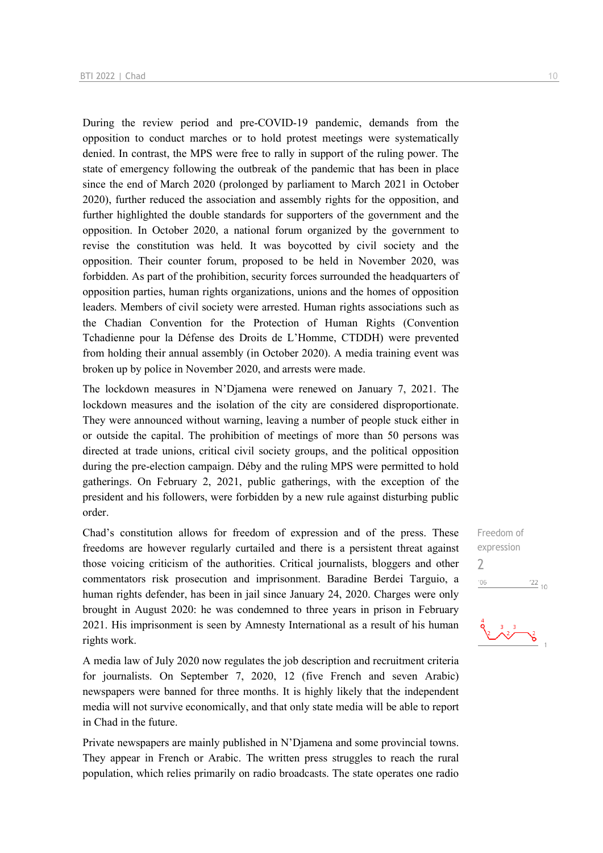During the review period and pre-COVID-19 pandemic, demands from the opposition to conduct marches or to hold protest meetings were systematically denied. In contrast, the MPS were free to rally in support of the ruling power. The state of emergency following the outbreak of the pandemic that has been in place since the end of March 2020 (prolonged by parliament to March 2021 in October 2020), further reduced the association and assembly rights for the opposition, and further highlighted the double standards for supporters of the government and the opposition. In October 2020, a national forum organized by the government to revise the constitution was held. It was boycotted by civil society and the opposition. Their counter forum, proposed to be held in November 2020, was forbidden. As part of the prohibition, security forces surrounded the headquarters of opposition parties, human rights organizations, unions and the homes of opposition leaders. Members of civil society were arrested. Human rights associations such as the Chadian Convention for the Protection of Human Rights (Convention Tchadienne pour la Défense des Droits de L'Homme, CTDDH) were prevented from holding their annual assembly (in October 2020). A media training event was broken up by police in November 2020, and arrests were made.

The lockdown measures in N'Djamena were renewed on January 7, 2021. The lockdown measures and the isolation of the city are considered disproportionate. They were announced without warning, leaving a number of people stuck either in or outside the capital. The prohibition of meetings of more than 50 persons was directed at trade unions, critical civil society groups, and the political opposition during the pre-election campaign. Déby and the ruling MPS were permitted to hold gatherings. On February 2, 2021, public gatherings, with the exception of the president and his followers, were forbidden by a new rule against disturbing public order.

Chad's constitution allows for freedom of expression and of the press. These freedoms are however regularly curtailed and there is a persistent threat against those voicing criticism of the authorities. Critical journalists, bloggers and other commentators risk prosecution and imprisonment. Baradine Berdei Targuio, a human rights defender, has been in jail since January 24, 2020. Charges were only brought in August 2020: he was condemned to three years in prison in February 2021. His imprisonment is seen by Amnesty International as a result of his human rights work.

A media law of July 2020 now regulates the job description and recruitment criteria for journalists. On September 7, 2020, 12 (five French and seven Arabic) newspapers were banned for three months. It is highly likely that the independent media will not survive economically, and that only state media will be able to report in Chad in the future.

Private newspapers are mainly published in N'Djamena and some provincial towns. They appear in French or Arabic. The written press struggles to reach the rural population, which relies primarily on radio broadcasts. The state operates one radio

Freedom of expression 2 $06'$  $\frac{22}{10}$ 

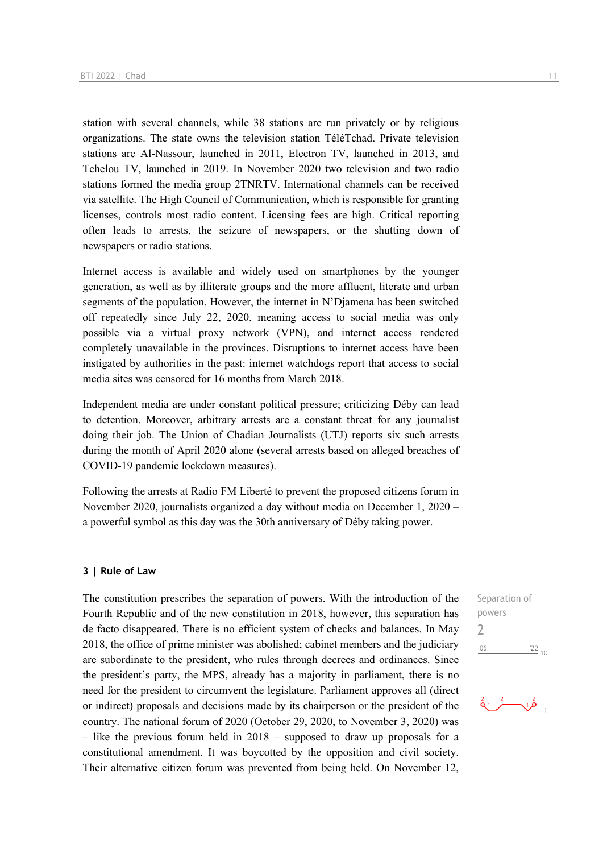station with several channels, while 38 stations are run privately or by religious organizations. The state owns the television station TéléTchad. Private television stations are Al-Nassour, launched in 2011, Electron TV, launched in 2013, and Tchelou TV, launched in 2019. In November 2020 two television and two radio stations formed the media group 2TNRTV. International channels can be received via satellite. The High Council of Communication, which is responsible for granting licenses, controls most radio content. Licensing fees are high. Critical reporting often leads to arrests, the seizure of newspapers, or the shutting down of newspapers or radio stations.

Internet access is available and widely used on smartphones by the younger generation, as well as by illiterate groups and the more affluent, literate and urban segments of the population. However, the internet in N'Djamena has been switched off repeatedly since July 22, 2020, meaning access to social media was only possible via a virtual proxy network (VPN), and internet access rendered completely unavailable in the provinces. Disruptions to internet access have been instigated by authorities in the past: internet watchdogs report that access to social media sites was censored for 16 months from March 2018.

Independent media are under constant political pressure; criticizing Déby can lead to detention. Moreover, arbitrary arrests are a constant threat for any journalist doing their job. The Union of Chadian Journalists (UTJ) reports six such arrests during the month of April 2020 alone (several arrests based on alleged breaches of COVID-19 pandemic lockdown measures).

Following the arrests at Radio FM Liberté to prevent the proposed citizens forum in November 2020, journalists organized a day without media on December 1, 2020 – a powerful symbol as this day was the 30th anniversary of Déby taking power.

#### **3 | Rule of Law**

The constitution prescribes the separation of powers. With the introduction of the Fourth Republic and of the new constitution in 2018, however, this separation has de facto disappeared. There is no efficient system of checks and balances. In May 2018, the office of prime minister was abolished; cabinet members and the judiciary are subordinate to the president, who rules through decrees and ordinances. Since the president's party, the MPS, already has a majority in parliament, there is no need for the president to circumvent the legislature. Parliament approves all (direct or indirect) proposals and decisions made by its chairperson or the president of the country. The national forum of 2020 (October 29, 2020, to November 3, 2020) was – like the previous forum held in 2018 – supposed to draw up proposals for a constitutional amendment. It was boycotted by the opposition and civil society. Their alternative citizen forum was prevented from being held. On November 12,

Separation of powers 2 $^{\prime}06$  $\frac{22}{10}$ 

$$
\stackrel{2}{\bullet} \stackrel{2}{\bullet} \stackrel{2}{\bullet} \stackrel{2}{\bullet} \stackrel{2}{\bullet}
$$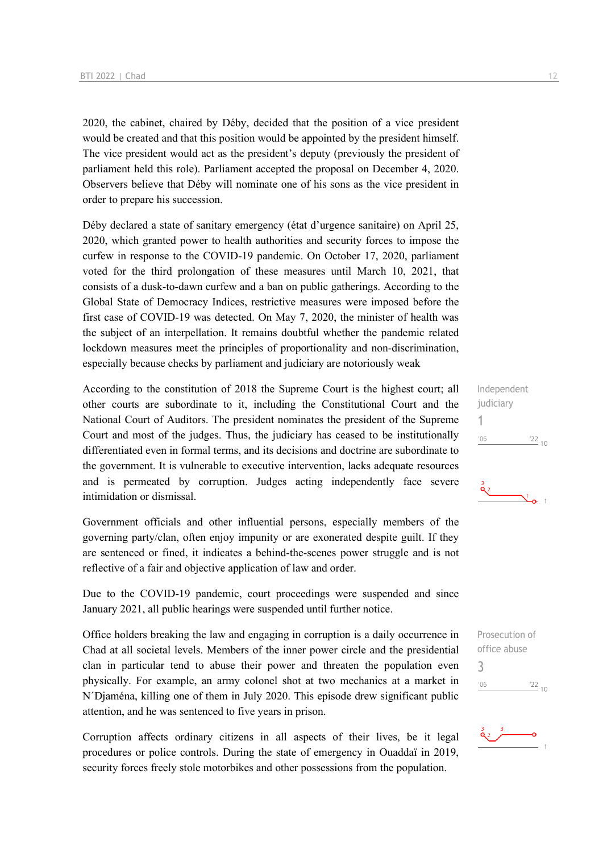2020, the cabinet, chaired by Déby, decided that the position of a vice president would be created and that this position would be appointed by the president himself. The vice president would act as the president's deputy (previously the president of parliament held this role). Parliament accepted the proposal on December 4, 2020. Observers believe that Déby will nominate one of his sons as the vice president in order to prepare his succession.

Déby declared a state of sanitary emergency (état d'urgence sanitaire) on April 25, 2020, which granted power to health authorities and security forces to impose the curfew in response to the COVID-19 pandemic. On October 17, 2020, parliament voted for the third prolongation of these measures until March 10, 2021, that consists of a dusk-to-dawn curfew and a ban on public gatherings. According to the Global State of Democracy Indices, restrictive measures were imposed before the first case of COVID-19 was detected. On May 7, 2020, the minister of health was the subject of an interpellation. It remains doubtful whether the pandemic related lockdown measures meet the principles of proportionality and non-discrimination, especially because checks by parliament and judiciary are notoriously weak

According to the constitution of 2018 the Supreme Court is the highest court; all other courts are subordinate to it, including the Constitutional Court and the National Court of Auditors. The president nominates the president of the Supreme Court and most of the judges. Thus, the judiciary has ceased to be institutionally differentiated even in formal terms, and its decisions and doctrine are subordinate to the government. It is vulnerable to executive intervention, lacks adequate resources and is permeated by corruption. Judges acting independently face severe intimidation or dismissal.

Government officials and other influential persons, especially members of the governing party/clan, often enjoy impunity or are exonerated despite guilt. If they are sentenced or fined, it indicates a behind-the-scenes power struggle and is not reflective of a fair and objective application of law and order.

Due to the COVID-19 pandemic, court proceedings were suspended and since January 2021, all public hearings were suspended until further notice.

Office holders breaking the law and engaging in corruption is a daily occurrence in Chad at all societal levels. Members of the inner power circle and the presidential clan in particular tend to abuse their power and threaten the population even physically. For example, an army colonel shot at two mechanics at a market in N´Djaména, killing one of them in July 2020. This episode drew significant public attention, and he was sentenced to five years in prison.

Corruption affects ordinary citizens in all aspects of their lives, be it legal procedures or police controls. During the state of emergency in Ouaddaï in 2019, security forces freely stole motorbikes and other possessions from the population.

Independent judiciary 1  $\frac{22}{10}$  $'06$ 



Prosecution of office abuse 3 $06'$  $\frac{22}{10}$ 

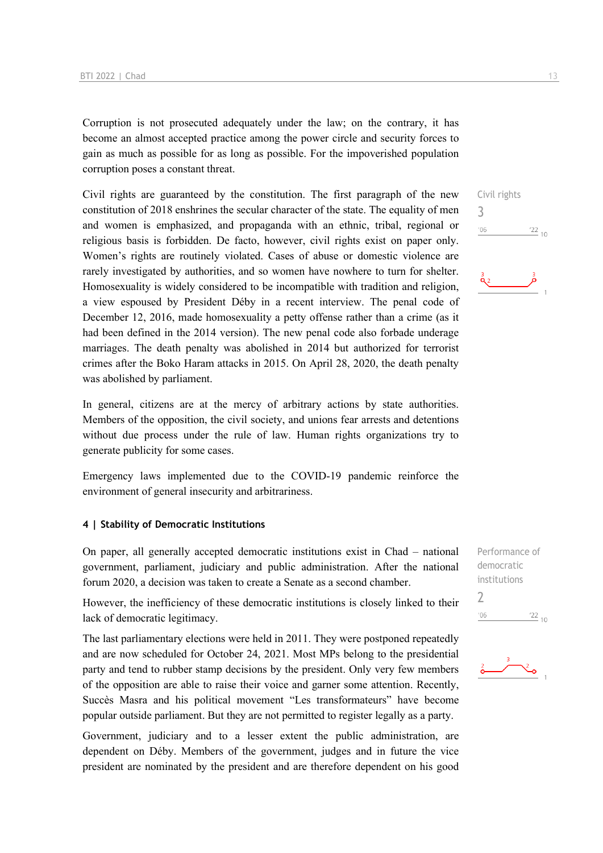Corruption is not prosecuted adequately under the law; on the contrary, it has become an almost accepted practice among the power circle and security forces to gain as much as possible for as long as possible. For the impoverished population corruption poses a constant threat.

Civil rights are guaranteed by the constitution. The first paragraph of the new constitution of 2018 enshrines the secular character of the state. The equality of men and women is emphasized, and propaganda with an ethnic, tribal, regional or religious basis is forbidden. De facto, however, civil rights exist on paper only. Women's rights are routinely violated. Cases of abuse or domestic violence are rarely investigated by authorities, and so women have nowhere to turn for shelter. Homosexuality is widely considered to be incompatible with tradition and religion, a view espoused by President Déby in a recent interview. The penal code of December 12, 2016, made homosexuality a petty offense rather than a crime (as it had been defined in the 2014 version). The new penal code also forbade underage marriages. The death penalty was abolished in 2014 but authorized for terrorist crimes after the Boko Haram attacks in 2015. On April 28, 2020, the death penalty was abolished by parliament.

In general, citizens are at the mercy of arbitrary actions by state authorities. Members of the opposition, the civil society, and unions fear arrests and detentions without due process under the rule of law. Human rights organizations try to generate publicity for some cases.

Emergency laws implemented due to the COVID-19 pandemic reinforce the environment of general insecurity and arbitrariness.

#### **4 | Stability of Democratic Institutions**

On paper, all generally accepted democratic institutions exist in Chad – national government, parliament, judiciary and public administration. After the national forum 2020, a decision was taken to create a Senate as a second chamber.

However, the inefficiency of these democratic institutions is closely linked to their lack of democratic legitimacy.

The last parliamentary elections were held in 2011. They were postponed repeatedly and are now scheduled for October 24, 2021. Most MPs belong to the presidential party and tend to rubber stamp decisions by the president. Only very few members of the opposition are able to raise their voice and garner some attention. Recently, Succès Masra and his political movement "Les transformateurs" have become popular outside parliament. But they are not permitted to register legally as a party.

Government, judiciary and to a lesser extent the public administration, are dependent on Déby. Members of the government, judges and in future the vice president are nominated by the president and are therefore dependent on his good

Civil rights 3  $\frac{22}{10}$  $'06$ 

Performance of democratic institutions 2 $^{\prime}06$  $\frac{22}{10}$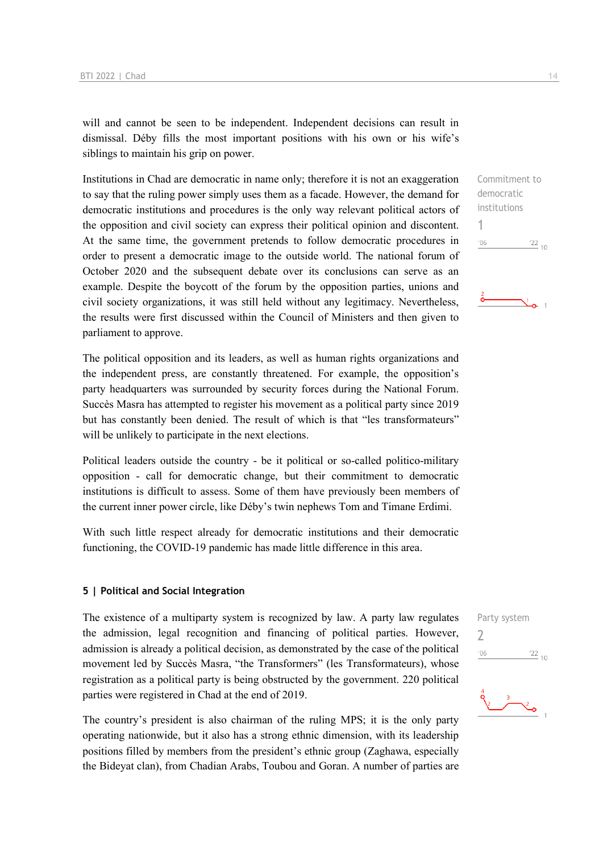will and cannot be seen to be independent. Independent decisions can result in dismissal. Déby fills the most important positions with his own or his wife's siblings to maintain his grip on power.

Institutions in Chad are democratic in name only; therefore it is not an exaggeration to say that the ruling power simply uses them as a facade. However, the demand for democratic institutions and procedures is the only way relevant political actors of the opposition and civil society can express their political opinion and discontent. At the same time, the government pretends to follow democratic procedures in order to present a democratic image to the outside world. The national forum of October 2020 and the subsequent debate over its conclusions can serve as an example. Despite the boycott of the forum by the opposition parties, unions and civil society organizations, it was still held without any legitimacy. Nevertheless, the results were first discussed within the Council of Ministers and then given to parliament to approve.

The political opposition and its leaders, as well as human rights organizations and the independent press, are constantly threatened. For example, the opposition's party headquarters was surrounded by security forces during the National Forum. Succès Masra has attempted to register his movement as a political party since 2019 but has constantly been denied. The result of which is that "les transformateurs" will be unlikely to participate in the next elections.

Political leaders outside the country - be it political or so-called politico-military opposition - call for democratic change, but their commitment to democratic institutions is difficult to assess. Some of them have previously been members of the current inner power circle, like Déby's twin nephews Tom and Timane Erdimi.

With such little respect already for democratic institutions and their democratic functioning, the COVID-19 pandemic has made little difference in this area.

#### **5 | Political and Social Integration**

The existence of a multiparty system is recognized by law. A party law regulates the admission, legal recognition and financing of political parties. However, admission is already a political decision, as demonstrated by the case of the political movement led by Succès Masra, "the Transformers" (les Transformateurs), whose registration as a political party is being obstructed by the government. 220 political parties were registered in Chad at the end of 2019.

The country's president is also chairman of the ruling MPS; it is the only party operating nationwide, but it also has a strong ethnic dimension, with its leadership positions filled by members from the president's ethnic group (Zaghawa, especially the Bideyat clan), from Chadian Arabs, Toubou and Goran. A number of parties are Commitment to democratic institutions 1  $\frac{22}{10}$  $106$ 

Party system

2 $-06$  $\frac{22}{10}$ 

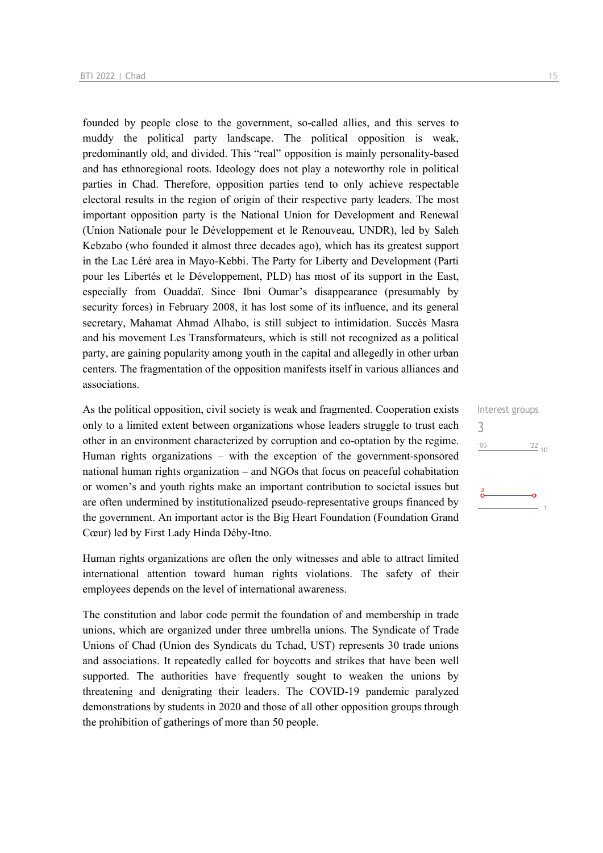founded by people close to the government, so-called allies, and this serves to muddy the political party landscape. The political opposition is weak, predominantly old, and divided. This "real" opposition is mainly personality-based and has ethnoregional roots. Ideology does not play a noteworthy role in political parties in Chad. Therefore, opposition parties tend to only achieve respectable electoral results in the region of origin of their respective party leaders. The most important opposition party is the National Union for Development and Renewal (Union Nationale pour le Développement et le Renouveau, UNDR), led by Saleh Kebzabo (who founded it almost three decades ago), which has its greatest support in the Lac Léré area in Mayo-Kebbi. The Party for Liberty and Development (Parti pour les Libertés et le Développement, PLD) has most of its support in the East, especially from Ouaddaï. Since Ibni Oumar's disappearance (presumably by security forces) in February 2008, it has lost some of its influence, and its general secretary, Mahamat Ahmad Alhabo, is still subject to intimidation. Succès Masra and his movement Les Transformateurs, which is still not recognized as a political party, are gaining popularity among youth in the capital and allegedly in other urban centers. The fragmentation of the opposition manifests itself in various alliances and associations.

As the political opposition, civil society is weak and fragmented. Cooperation exists only to a limited extent between organizations whose leaders struggle to trust each other in an environment characterized by corruption and co-optation by the regime. Human rights organizations – with the exception of the government-sponsored national human rights organization – and NGOs that focus on peaceful cohabitation or women's and youth rights make an important contribution to societal issues but are often undermined by institutionalized pseudo-representative groups financed by the government. An important actor is the Big Heart Foundation (Foundation Grand Cœur) led by First Lady Hinda Déby-Itno.

Human rights organizations are often the only witnesses and able to attract limited international attention toward human rights violations. The safety of their employees depends on the level of international awareness.

The constitution and labor code permit the foundation of and membership in trade unions, which are organized under three umbrella unions. The Syndicate of Trade Unions of Chad (Union des Syndicats du Tchad, UST) represents 30 trade unions and associations. It repeatedly called for boycotts and strikes that have been well supported. The authorities have frequently sought to weaken the unions by threatening and denigrating their leaders. The COVID-19 pandemic paralyzed demonstrations by students in 2020 and those of all other opposition groups through the prohibition of gatherings of more than 50 people.

Interest groups 3 $106$  $\frac{22}{10}$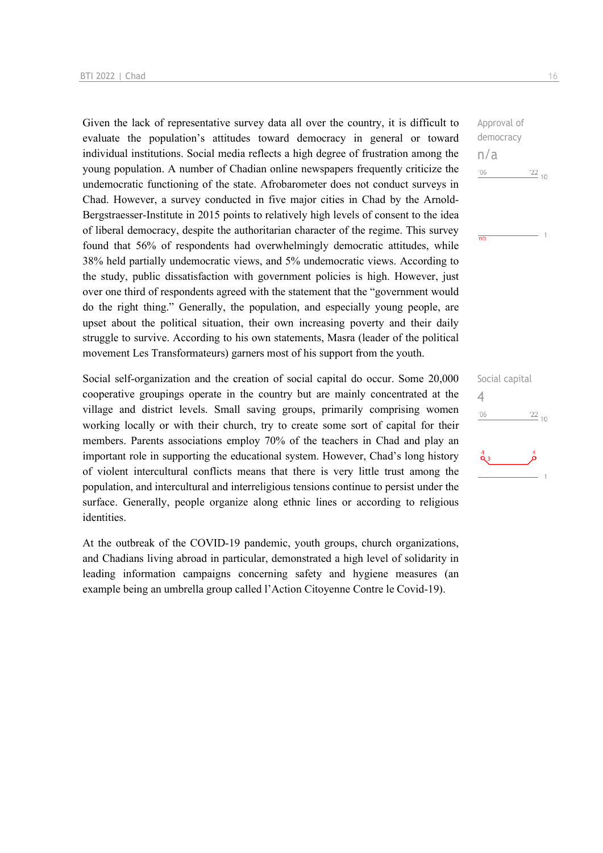Given the lack of representative survey data all over the country, it is difficult to evaluate the population's attitudes toward democracy in general or toward individual institutions. Social media reflects a high degree of frustration among the young population. A number of Chadian online newspapers frequently criticize the undemocratic functioning of the state. Afrobarometer does not conduct surveys in Chad. However, a survey conducted in five major cities in Chad by the Arnold-Bergstraesser-Institute in 2015 points to relatively high levels of consent to the idea of liberal democracy, despite the authoritarian character of the regime. This survey found that 56% of respondents had overwhelmingly democratic attitudes, while 38% held partially undemocratic views, and 5% undemocratic views. According to the study, public dissatisfaction with government policies is high. However, just over one third of respondents agreed with the statement that the "government would do the right thing." Generally, the population, and especially young people, are upset about the political situation, their own increasing poverty and their daily struggle to survive. According to his own statements, Masra (leader of the political movement Les Transformateurs) garners most of his support from the youth.

Social self-organization and the creation of social capital do occur. Some 20,000 cooperative groupings operate in the country but are mainly concentrated at the village and district levels. Small saving groups, primarily comprising women working locally or with their church, try to create some sort of capital for their members. Parents associations employ 70% of the teachers in Chad and play an important role in supporting the educational system. However, Chad's long history of violent intercultural conflicts means that there is very little trust among the population, and intercultural and interreligious tensions continue to persist under the surface. Generally, people organize along ethnic lines or according to religious identities.

At the outbreak of the COVID-19 pandemic, youth groups, church organizations, and Chadians living abroad in particular, demonstrated a high level of solidarity in leading information campaigns concerning safety and hygiene measures (an example being an umbrella group called l'Action Citoyenne Contre le Covid-19).

Approval of democracy n/a  $-06$  $\frac{22}{10}$ 

 $\overline{m/s}$ 

Social capital 4 $\frac{22}{10}$  $-06$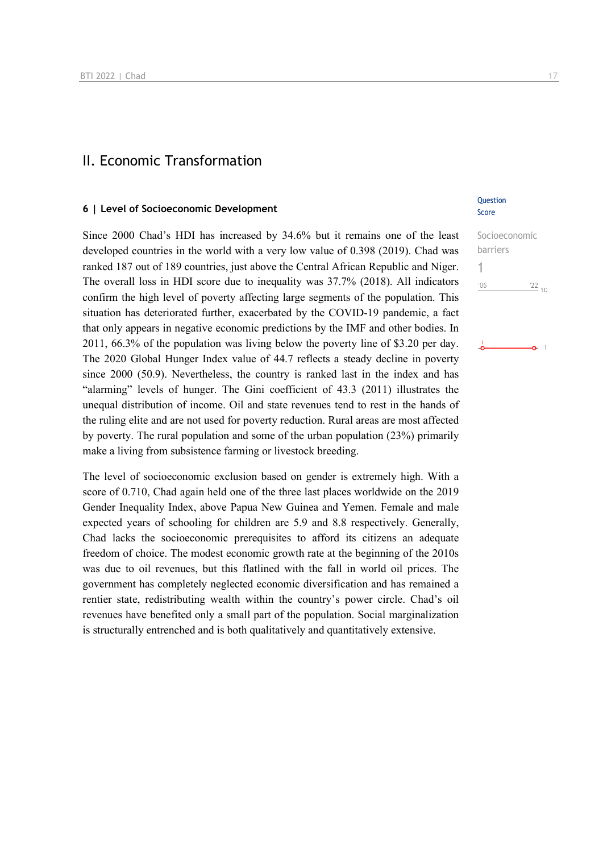## II. Economic Transformation

#### **6 | Level of Socioeconomic Development**

Since 2000 Chad's HDI has increased by 34.6% but it remains one of the least developed countries in the world with a very low value of 0.398 (2019). Chad was ranked 187 out of 189 countries, just above the Central African Republic and Niger. The overall loss in HDI score due to inequality was 37.7% (2018). All indicators confirm the high level of poverty affecting large segments of the population. This situation has deteriorated further, exacerbated by the COVID-19 pandemic, a fact that only appears in negative economic predictions by the IMF and other bodies. In 2011, 66.3% of the population was living below the poverty line of \$3.20 per day. The 2020 Global Hunger Index value of 44.7 reflects a steady decline in poverty since 2000 (50.9). Nevertheless, the country is ranked last in the index and has "alarming" levels of hunger. The Gini coefficient of 43.3 (2011) illustrates the unequal distribution of income. Oil and state revenues tend to rest in the hands of the ruling elite and are not used for poverty reduction. Rural areas are most affected by poverty. The rural population and some of the urban population (23%) primarily make a living from subsistence farming or livestock breeding.

The level of socioeconomic exclusion based on gender is extremely high. With a score of 0.710, Chad again held one of the three last places worldwide on the 2019 Gender Inequality Index, above Papua New Guinea and Yemen. Female and male expected years of schooling for children are 5.9 and 8.8 respectively. Generally, Chad lacks the socioeconomic prerequisites to afford its citizens an adequate freedom of choice. The modest economic growth rate at the beginning of the 2010s was due to oil revenues, but this flatlined with the fall in world oil prices. The government has completely neglected economic diversification and has remained a rentier state, redistributing wealth within the country's power circle. Chad's oil revenues have benefited only a small part of the population. Social marginalization is structurally entrenched and is both qualitatively and quantitatively extensive.

#### **Question** Score

| Socioeconomic |               |
|---------------|---------------|
| barriers      |               |
|               |               |
| 106           | $^{22}_{-10}$ |
|               |               |

ò.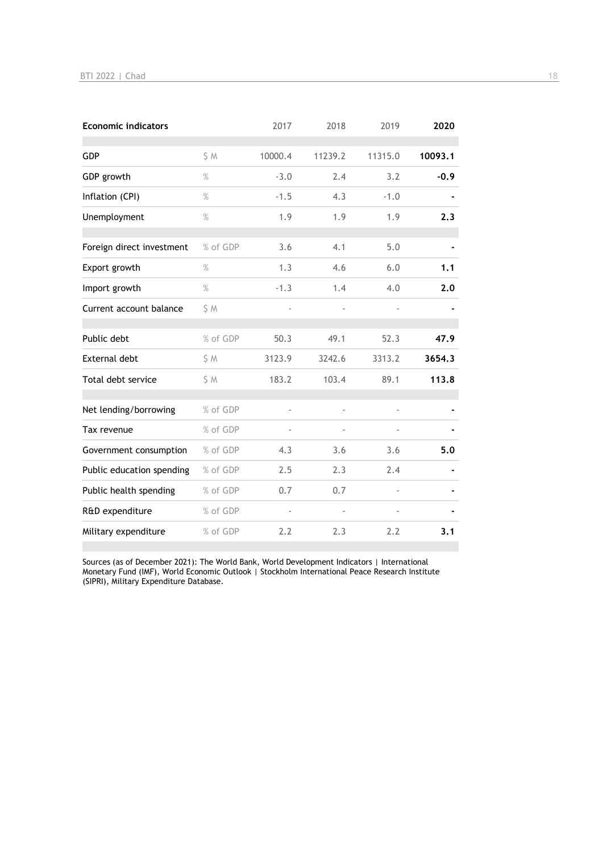| <b>Economic indicators</b> |          | 2017    | 2018    | 2019    | 2020    |
|----------------------------|----------|---------|---------|---------|---------|
| <b>GDP</b>                 | S M      | 10000.4 | 11239.2 | 11315.0 | 10093.1 |
| GDP growth                 | $\%$     | $-3.0$  | 2.4     | 3.2     | $-0.9$  |
| Inflation (CPI)            | $\%$     | $-1.5$  | 4.3     | $-1.0$  |         |
| Unemployment               | $\%$     | 1.9     | 1.9     | 1.9     | 2.3     |
| Foreign direct investment  | % of GDP | 3.6     | 4.1     | 5.0     |         |
| Export growth              | $\%$     | 1.3     | 4.6     | 6.0     | 1.1     |
| Import growth              | $\%$     | $-1.3$  | 1.4     | 4.0     | 2.0     |
| Current account balance    | \$M      |         |         |         |         |
| Public debt                | % of GDP | 50.3    | 49.1    | 52.3    | 47.9    |
| <b>External debt</b>       | \$ M     | 3123.9  | 3242.6  | 3313.2  | 3654.3  |
| Total debt service         | \$ M     | 183.2   | 103.4   | 89.1    | 113.8   |
| Net lending/borrowing      | % of GDP | ÷,      |         | ÷,      |         |
| Tax revenue                | % of GDP |         |         |         |         |
| Government consumption     | % of GDP | 4.3     | 3.6     | 3.6     | 5.0     |
| Public education spending  | % of GDP | 2.5     | 2.3     | 2.4     |         |
| Public health spending     | % of GDP | 0.7     | 0.7     |         |         |
| R&D expenditure            | % of GDP |         |         |         |         |
| Military expenditure       | % of GDP | 2.2     | 2.3     | 2.2     | 3.1     |

Sources (as of December 2021): The World Bank, World Development Indicators | International Monetary Fund (IMF), World Economic Outlook | Stockholm International Peace Research Institute (SIPRI), Military Expenditure Database.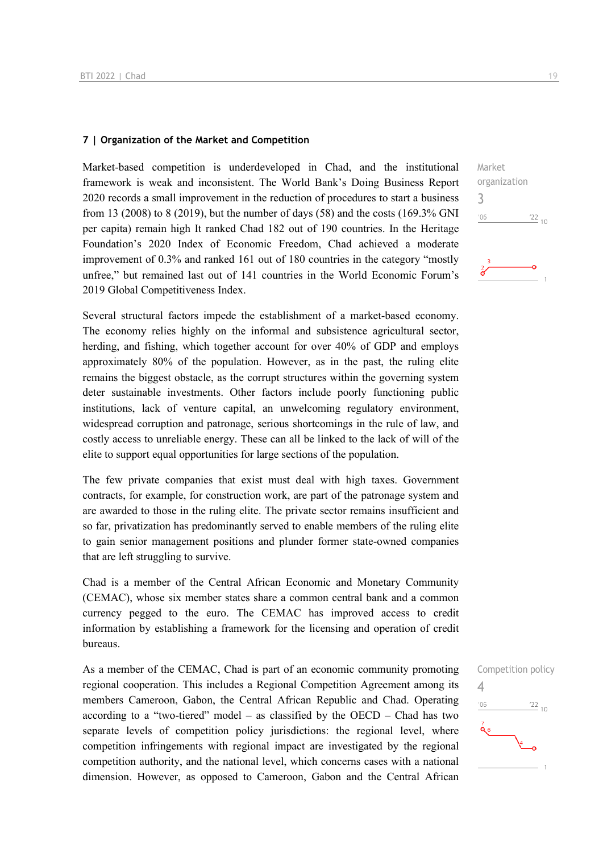#### **7 | Organization of the Market and Competition**

Market-based competition is underdeveloped in Chad, and the institutional framework is weak and inconsistent. The World Bank's Doing Business Report 2020 records a small improvement in the reduction of procedures to start a business from 13 (2008) to 8 (2019), but the number of days (58) and the costs (169.3% GNI per capita) remain high It ranked Chad 182 out of 190 countries. In the Heritage Foundation's 2020 Index of Economic Freedom, Chad achieved a moderate improvement of 0.3% and ranked 161 out of 180 countries in the category "mostly unfree," but remained last out of 141 countries in the World Economic Forum's 2019 Global Competitiveness Index.

Several structural factors impede the establishment of a market-based economy. The economy relies highly on the informal and subsistence agricultural sector, herding, and fishing, which together account for over 40% of GDP and employs approximately 80% of the population. However, as in the past, the ruling elite remains the biggest obstacle, as the corrupt structures within the governing system deter sustainable investments. Other factors include poorly functioning public institutions, lack of venture capital, an unwelcoming regulatory environment, widespread corruption and patronage, serious shortcomings in the rule of law, and costly access to unreliable energy. These can all be linked to the lack of will of the elite to support equal opportunities for large sections of the population.

The few private companies that exist must deal with high taxes. Government contracts, for example, for construction work, are part of the patronage system and are awarded to those in the ruling elite. The private sector remains insufficient and so far, privatization has predominantly served to enable members of the ruling elite to gain senior management positions and plunder former state-owned companies that are left struggling to survive.

Chad is a member of the Central African Economic and Monetary Community (CEMAC), whose six member states share a common central bank and a common currency pegged to the euro. The CEMAC has improved access to credit information by establishing a framework for the licensing and operation of credit bureaus.

As a member of the CEMAC, Chad is part of an economic community promoting regional cooperation. This includes a Regional Competition Agreement among its members Cameroon, Gabon, the Central African Republic and Chad. Operating according to a "two-tiered" model – as classified by the OECD – Chad has two separate levels of competition policy jurisdictions: the regional level, where competition infringements with regional impact are investigated by the regional competition authority, and the national level, which concerns cases with a national dimension. However, as opposed to Cameroon, Gabon and the Central African



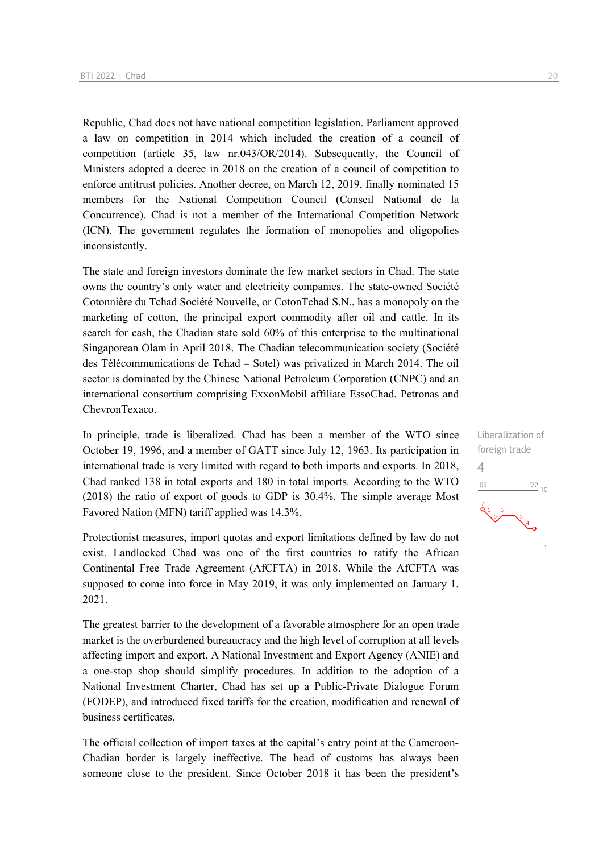Republic, Chad does not have national competition legislation. Parliament approved a law on competition in 2014 which included the creation of a council of competition (article 35, law nr.043/OR/2014). Subsequently, the Council of Ministers adopted a decree in 2018 on the creation of a council of competition to enforce antitrust policies. Another decree, on March 12, 2019, finally nominated 15 members for the National Competition Council (Conseil National de la Concurrence). Chad is not a member of the International Competition Network (ICN). The government regulates the formation of monopolies and oligopolies inconsistently.

The state and foreign investors dominate the few market sectors in Chad. The state owns the country's only water and electricity companies. The state-owned Société Cotonnière du Tchad Société Nouvelle, or CotonTchad S.N., has a monopoly on the marketing of cotton, the principal export commodity after oil and cattle. In its search for cash, the Chadian state sold 60% of this enterprise to the multinational Singaporean Olam in April 2018. The Chadian telecommunication society (Société des Télécommunications de Tchad – Sotel) was privatized in March 2014. The oil sector is dominated by the Chinese National Petroleum Corporation (CNPC) and an international consortium comprising ExxonMobil affiliate EssoChad, Petronas and ChevronTexaco.

In principle, trade is liberalized. Chad has been a member of the WTO since October 19, 1996, and a member of GATT since July 12, 1963. Its participation in international trade is very limited with regard to both imports and exports. In 2018, Chad ranked 138 in total exports and 180 in total imports. According to the WTO (2018) the ratio of export of goods to GDP is 30.4%. The simple average Most Favored Nation (MFN) tariff applied was 14.3%.

Protectionist measures, import quotas and export limitations defined by law do not exist. Landlocked Chad was one of the first countries to ratify the African Continental Free Trade Agreement (AfCFTA) in 2018. While the AfCFTA was supposed to come into force in May 2019, it was only implemented on January 1, 2021.

The greatest barrier to the development of a favorable atmosphere for an open trade market is the overburdened bureaucracy and the high level of corruption at all levels affecting import and export. A National Investment and Export Agency (ANIE) and a one-stop shop should simplify procedures. In addition to the adoption of a National Investment Charter, Chad has set up a Public-Private Dialogue Forum (FODEP), and introduced fixed tariffs for the creation, modification and renewal of business certificates.

The official collection of import taxes at the capital's entry point at the Cameroon-Chadian border is largely ineffective. The head of customs has always been someone close to the president. Since October 2018 it has been the president's Liberalization of foreign trade 4 $-06$  $\frac{22}{10}$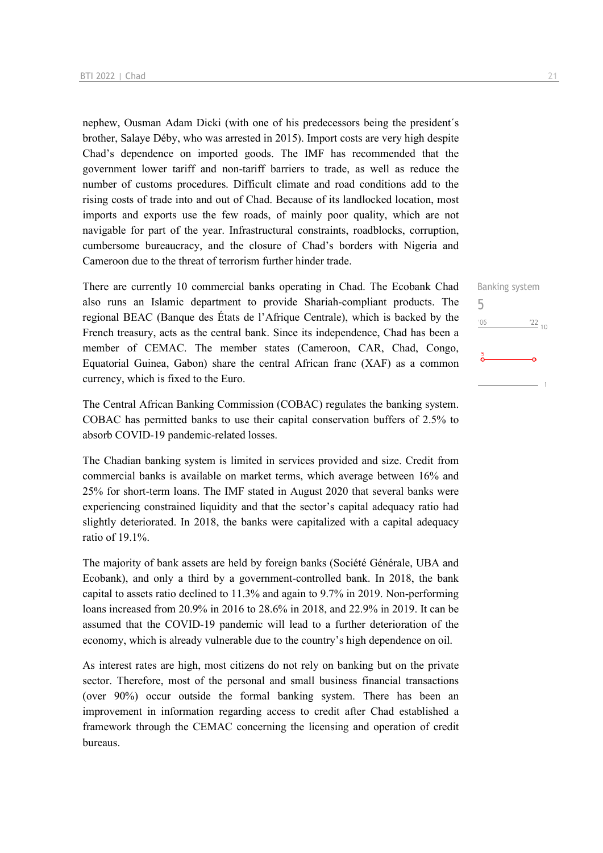nephew, Ousman Adam Dicki (with one of his predecessors being the president´s brother, Salaye Déby, who was arrested in 2015). Import costs are very high despite Chad's dependence on imported goods. The IMF has recommended that the government lower tariff and non-tariff barriers to trade, as well as reduce the number of customs procedures. Difficult climate and road conditions add to the rising costs of trade into and out of Chad. Because of its landlocked location, most imports and exports use the few roads, of mainly poor quality, which are not navigable for part of the year. Infrastructural constraints, roadblocks, corruption, cumbersome bureaucracy, and the closure of Chad's borders with Nigeria and Cameroon due to the threat of terrorism further hinder trade.

There are currently 10 commercial banks operating in Chad. The Ecobank Chad also runs an Islamic department to provide Shariah-compliant products. The regional BEAC (Banque des États de l'Afrique Centrale), which is backed by the French treasury, acts as the central bank. Since its independence, Chad has been a member of CEMAC. The member states (Cameroon, CAR, Chad, Congo, Equatorial Guinea, Gabon) share the central African franc (XAF) as a common currency, which is fixed to the Euro.

The Central African Banking Commission (COBAC) regulates the banking system. COBAC has permitted banks to use their capital conservation buffers of 2.5% to absorb COVID-19 pandemic-related losses.

The Chadian banking system is limited in services provided and size. Credit from commercial banks is available on market terms, which average between 16% and 25% for short-term loans. The IMF stated in August 2020 that several banks were experiencing constrained liquidity and that the sector's capital adequacy ratio had slightly deteriorated. In 2018, the banks were capitalized with a capital adequacy ratio of 19.1%.

The majority of bank assets are held by foreign banks (Société Générale, UBA and Ecobank), and only a third by a government-controlled bank. In 2018, the bank capital to assets ratio declined to 11.3% and again to 9.7% in 2019. Non-performing loans increased from 20.9% in 2016 to 28.6% in 2018, and 22.9% in 2019. It can be assumed that the COVID-19 pandemic will lead to a further deterioration of the economy, which is already vulnerable due to the country's high dependence on oil.

As interest rates are high, most citizens do not rely on banking but on the private sector. Therefore, most of the personal and small business financial transactions (over 90%) occur outside the formal banking system. There has been an improvement in information regarding access to credit after Chad established a framework through the CEMAC concerning the licensing and operation of credit bureaus.

Banking system 5 $^{\prime}06$  $\frac{22}{10}$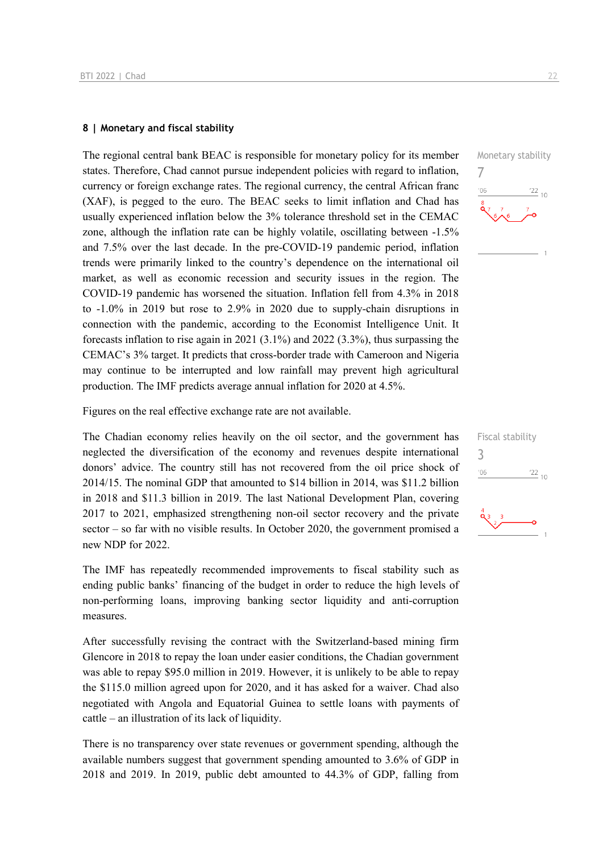#### **8 | Monetary and fiscal stability**

The regional central bank BEAC is responsible for monetary policy for its member states. Therefore, Chad cannot pursue independent policies with regard to inflation, currency or foreign exchange rates. The regional currency, the central African franc (XAF), is pegged to the euro. The BEAC seeks to limit inflation and Chad has usually experienced inflation below the 3% tolerance threshold set in the CEMAC zone, although the inflation rate can be highly volatile, oscillating between -1.5% and 7.5% over the last decade. In the pre-COVID-19 pandemic period, inflation trends were primarily linked to the country's dependence on the international oil market, as well as economic recession and security issues in the region. The COVID-19 pandemic has worsened the situation. Inflation fell from 4.3% in 2018 to -1.0% in 2019 but rose to 2.9% in 2020 due to supply-chain disruptions in connection with the pandemic, according to the Economist Intelligence Unit. It forecasts inflation to rise again in 2021 (3.1%) and 2022 (3.3%), thus surpassing the CEMAC's 3% target. It predicts that cross-border trade with Cameroon and Nigeria may continue to be interrupted and low rainfall may prevent high agricultural production. The IMF predicts average annual inflation for 2020 at 4.5%.

Figures on the real effective exchange rate are not available.

The Chadian economy relies heavily on the oil sector, and the government has neglected the diversification of the economy and revenues despite international donors' advice. The country still has not recovered from the oil price shock of 2014/15. The nominal GDP that amounted to \$14 billion in 2014, was \$11.2 billion in 2018 and \$11.3 billion in 2019. The last National Development Plan, covering 2017 to 2021, emphasized strengthening non-oil sector recovery and the private sector – so far with no visible results. In October 2020, the government promised a new NDP for 2022.

The IMF has repeatedly recommended improvements to fiscal stability such as ending public banks' financing of the budget in order to reduce the high levels of non-performing loans, improving banking sector liquidity and anti-corruption measures.

After successfully revising the contract with the Switzerland-based mining firm Glencore in 2018 to repay the loan under easier conditions, the Chadian government was able to repay \$95.0 million in 2019. However, it is unlikely to be able to repay the \$115.0 million agreed upon for 2020, and it has asked for a waiver. Chad also negotiated with Angola and Equatorial Guinea to settle loans with payments of cattle – an illustration of its lack of liquidity.

There is no transparency over state revenues or government spending, although the available numbers suggest that government spending amounted to 3.6% of GDP in 2018 and 2019. In 2019, public debt amounted to 44.3% of GDP, falling from



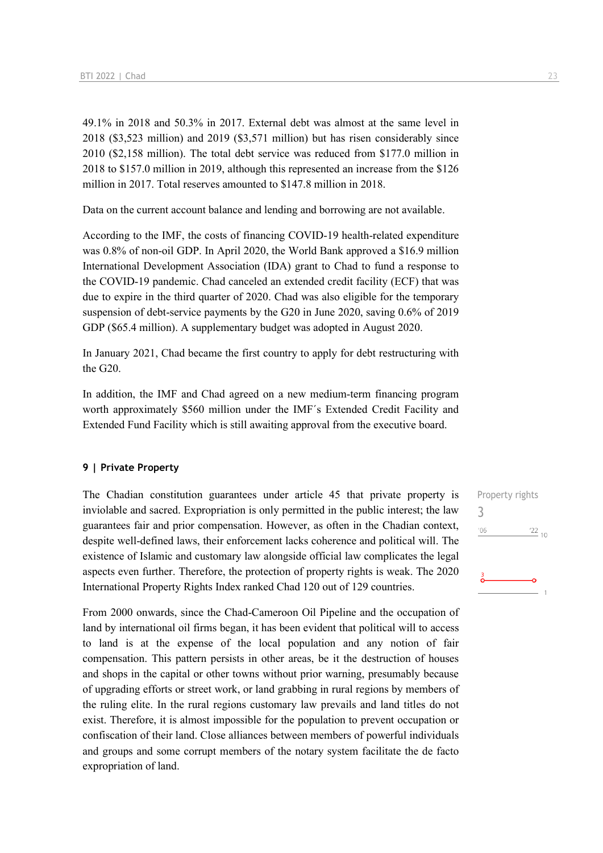49.1% in 2018 and 50.3% in 2017. External debt was almost at the same level in 2018 (\$3,523 million) and 2019 (\$3,571 million) but has risen considerably since 2010 (\$2,158 million). The total debt service was reduced from \$177.0 million in 2018 to \$157.0 million in 2019, although this represented an increase from the \$126 million in 2017. Total reserves amounted to \$147.8 million in 2018.

Data on the current account balance and lending and borrowing are not available.

According to the IMF, the costs of financing COVID-19 health-related expenditure was 0.8% of non-oil GDP. In April 2020, the World Bank approved a \$16.9 million International Development Association (IDA) grant to Chad to fund a response to the COVID-19 pandemic. Chad canceled an extended credit facility (ECF) that was due to expire in the third quarter of 2020. Chad was also eligible for the temporary suspension of debt-service payments by the G20 in June 2020, saving 0.6% of 2019 GDP (\$65.4 million). A supplementary budget was adopted in August 2020.

In January 2021, Chad became the first country to apply for debt restructuring with the G20.

In addition, the IMF and Chad agreed on a new medium-term financing program worth approximately \$560 million under the IMF´s Extended Credit Facility and Extended Fund Facility which is still awaiting approval from the executive board.

#### **9 | Private Property**

The Chadian constitution guarantees under article 45 that private property is inviolable and sacred. Expropriation is only permitted in the public interest; the law guarantees fair and prior compensation. However, as often in the Chadian context, despite well-defined laws, their enforcement lacks coherence and political will. The existence of Islamic and customary law alongside official law complicates the legal aspects even further. Therefore, the protection of property rights is weak. The 2020 International Property Rights Index ranked Chad 120 out of 129 countries.

From 2000 onwards, since the Chad-Cameroon Oil Pipeline and the occupation of land by international oil firms began, it has been evident that political will to access to land is at the expense of the local population and any notion of fair compensation. This pattern persists in other areas, be it the destruction of houses and shops in the capital or other towns without prior warning, presumably because of upgrading efforts or street work, or land grabbing in rural regions by members of the ruling elite. In the rural regions customary law prevails and land titles do not exist. Therefore, it is almost impossible for the population to prevent occupation or confiscation of their land. Close alliances between members of powerful individuals and groups and some corrupt members of the notary system facilitate the de facto expropriation of land.

Property rights 3 $'06$  $\frac{22}{10}$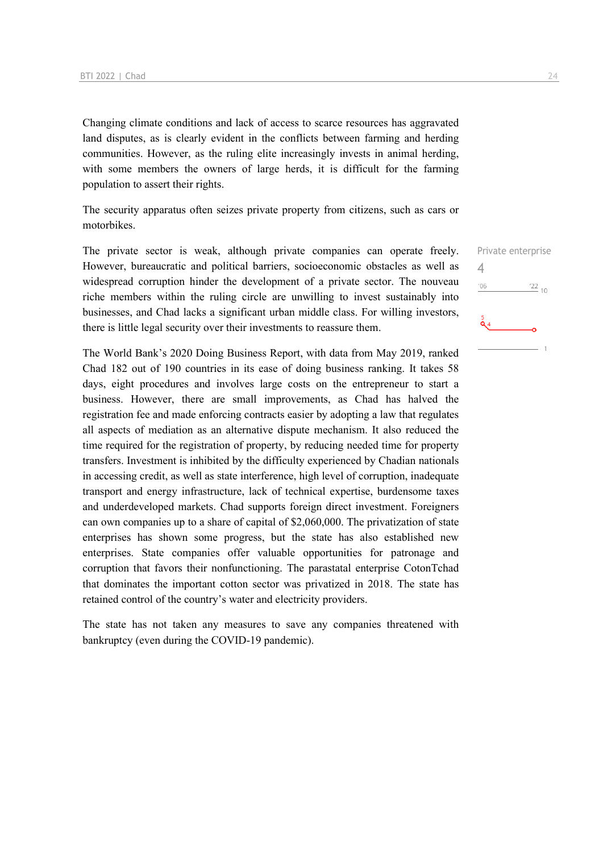Changing climate conditions and lack of access to scarce resources has aggravated land disputes, as is clearly evident in the conflicts between farming and herding communities. However, as the ruling elite increasingly invests in animal herding, with some members the owners of large herds, it is difficult for the farming population to assert their rights.

The security apparatus often seizes private property from citizens, such as cars or motorbikes.

The private sector is weak, although private companies can operate freely. However, bureaucratic and political barriers, socioeconomic obstacles as well as widespread corruption hinder the development of a private sector. The nouveau riche members within the ruling circle are unwilling to invest sustainably into businesses, and Chad lacks a significant urban middle class. For willing investors, there is little legal security over their investments to reassure them.

The World Bank's 2020 Doing Business Report, with data from May 2019, ranked Chad 182 out of 190 countries in its ease of doing business ranking. It takes 58 days, eight procedures and involves large costs on the entrepreneur to start a business. However, there are small improvements, as Chad has halved the registration fee and made enforcing contracts easier by adopting a law that regulates all aspects of mediation as an alternative dispute mechanism. It also reduced the time required for the registration of property, by reducing needed time for property transfers. Investment is inhibited by the difficulty experienced by Chadian nationals in accessing credit, as well as state interference, high level of corruption, inadequate transport and energy infrastructure, lack of technical expertise, burdensome taxes and underdeveloped markets. Chad supports foreign direct investment. Foreigners can own companies up to a share of capital of \$2,060,000. The privatization of state enterprises has shown some progress, but the state has also established new enterprises. State companies offer valuable opportunities for patronage and corruption that favors their nonfunctioning. The parastatal enterprise CotonTchad that dominates the important cotton sector was privatized in 2018. The state has retained control of the country's water and electricity providers.

The state has not taken any measures to save any companies threatened with bankruptcy (even during the COVID-19 pandemic).

Private enterprise  $\Delta$  $106$  $\frac{22}{10}$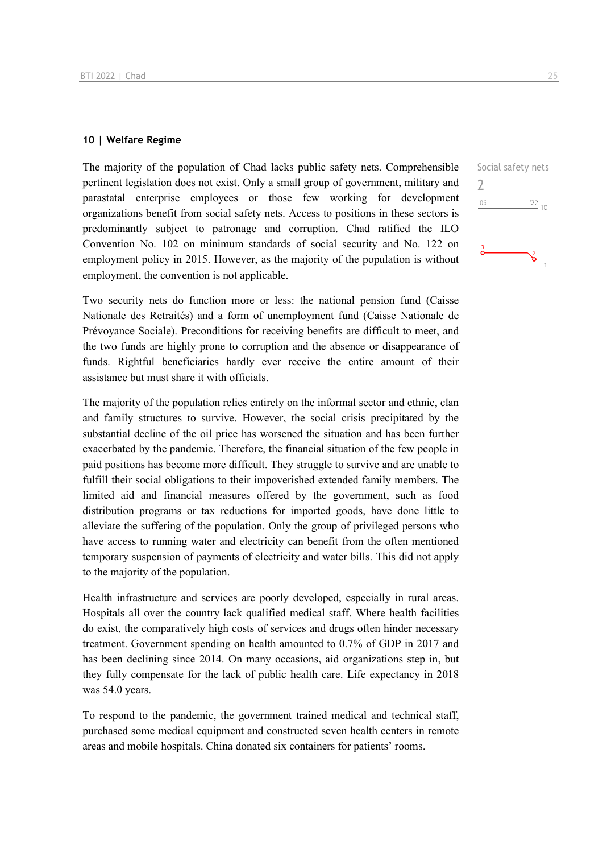#### **10 | Welfare Regime**

The majority of the population of Chad lacks public safety nets. Comprehensible pertinent legislation does not exist. Only a small group of government, military and parastatal enterprise employees or those few working for development organizations benefit from social safety nets. Access to positions in these sectors is predominantly subject to patronage and corruption. Chad ratified the ILO Convention No. 102 on minimum standards of social security and No. 122 on employment policy in 2015. However, as the majority of the population is without employment, the convention is not applicable.

Two security nets do function more or less: the national pension fund (Caisse Nationale des Retraités) and a form of unemployment fund (Caisse Nationale de Prévoyance Sociale). Preconditions for receiving benefits are difficult to meet, and the two funds are highly prone to corruption and the absence or disappearance of funds. Rightful beneficiaries hardly ever receive the entire amount of their assistance but must share it with officials.

The majority of the population relies entirely on the informal sector and ethnic, clan and family structures to survive. However, the social crisis precipitated by the substantial decline of the oil price has worsened the situation and has been further exacerbated by the pandemic. Therefore, the financial situation of the few people in paid positions has become more difficult. They struggle to survive and are unable to fulfill their social obligations to their impoverished extended family members. The limited aid and financial measures offered by the government, such as food distribution programs or tax reductions for imported goods, have done little to alleviate the suffering of the population. Only the group of privileged persons who have access to running water and electricity can benefit from the often mentioned temporary suspension of payments of electricity and water bills. This did not apply to the majority of the population.

Health infrastructure and services are poorly developed, especially in rural areas. Hospitals all over the country lack qualified medical staff. Where health facilities do exist, the comparatively high costs of services and drugs often hinder necessary treatment. Government spending on health amounted to 0.7% of GDP in 2017 and has been declining since 2014. On many occasions, aid organizations step in, but they fully compensate for the lack of public health care. Life expectancy in 2018 was 54.0 years.

To respond to the pandemic, the government trained medical and technical staff, purchased some medical equipment and constructed seven health centers in remote areas and mobile hospitals. China donated six containers for patients' rooms.

Social safety nets  $\overline{\phantom{0}}$  $'06$  $122_{10}$ ఠ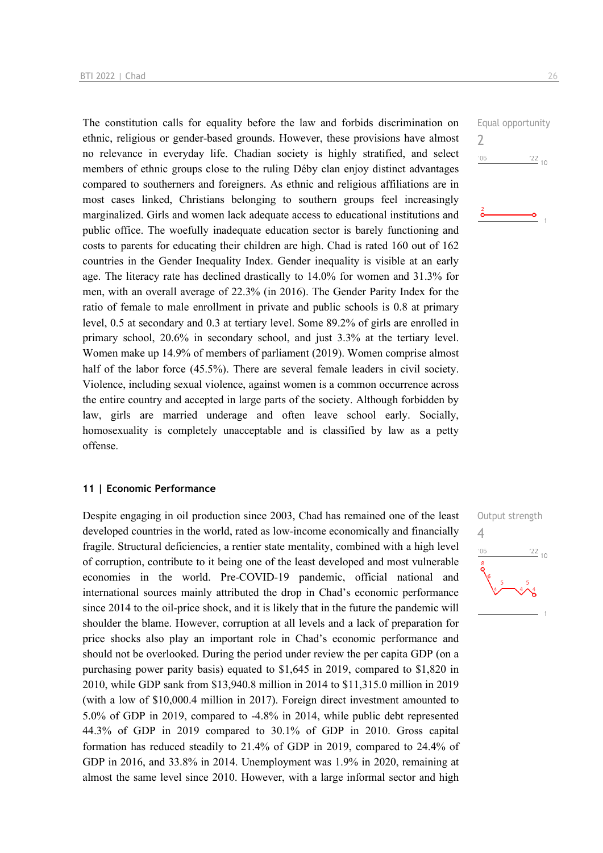The constitution calls for equality before the law and forbids discrimination on ethnic, religious or gender-based grounds. However, these provisions have almost no relevance in everyday life. Chadian society is highly stratified, and select members of ethnic groups close to the ruling Déby clan enjoy distinct advantages compared to southerners and foreigners. As ethnic and religious affiliations are in most cases linked, Christians belonging to southern groups feel increasingly marginalized. Girls and women lack adequate access to educational institutions and public office. The woefully inadequate education sector is barely functioning and costs to parents for educating their children are high. Chad is rated 160 out of 162 countries in the Gender Inequality Index. Gender inequality is visible at an early age. The literacy rate has declined drastically to 14.0% for women and 31.3% for men, with an overall average of 22.3% (in 2016). The Gender Parity Index for the ratio of female to male enrollment in private and public schools is 0.8 at primary level, 0.5 at secondary and 0.3 at tertiary level. Some 89.2% of girls are enrolled in primary school, 20.6% in secondary school, and just 3.3% at the tertiary level. Women make up 14.9% of members of parliament (2019). Women comprise almost half of the labor force (45.5%). There are several female leaders in civil society. Violence, including sexual violence, against women is a common occurrence across the entire country and accepted in large parts of the society. Although forbidden by law, girls are married underage and often leave school early. Socially, homosexuality is completely unacceptable and is classified by law as a petty offense.

#### **11 | Economic Performance**

Despite engaging in oil production since 2003, Chad has remained one of the least developed countries in the world, rated as low-income economically and financially fragile. Structural deficiencies, a rentier state mentality, combined with a high level of corruption, contribute to it being one of the least developed and most vulnerable economies in the world. Pre-COVID-19 pandemic, official national and international sources mainly attributed the drop in Chad's economic performance since 2014 to the oil-price shock, and it is likely that in the future the pandemic will shoulder the blame. However, corruption at all levels and a lack of preparation for price shocks also play an important role in Chad's economic performance and should not be overlooked. During the period under review the per capita GDP (on a purchasing power parity basis) equated to \$1,645 in 2019, compared to \$1,820 in 2010, while GDP sank from \$13,940.8 million in 2014 to \$11,315.0 million in 2019 (with a low of \$10,000.4 million in 2017). Foreign direct investment amounted to 5.0% of GDP in 2019, compared to -4.8% in 2014, while public debt represented 44.3% of GDP in 2019 compared to 30.1% of GDP in 2010. Gross capital formation has reduced steadily to 21.4% of GDP in 2019, compared to 24.4% of GDP in 2016, and 33.8% in 2014. Unemployment was 1.9% in 2020, remaining at almost the same level since 2010. However, with a large informal sector and high



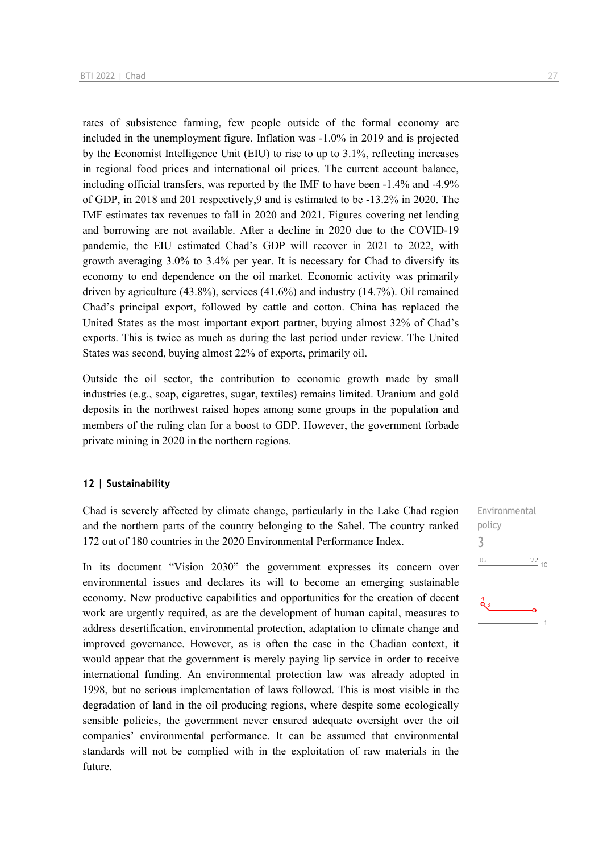rates of subsistence farming, few people outside of the formal economy are included in the unemployment figure. Inflation was -1.0% in 2019 and is projected by the Economist Intelligence Unit (EIU) to rise to up to 3.1%, reflecting increases in regional food prices and international oil prices. The current account balance, including official transfers, was reported by the IMF to have been -1.4% and -4.9% of GDP, in 2018 and 201 respectively,9 and is estimated to be -13.2% in 2020. The IMF estimates tax revenues to fall in 2020 and 2021. Figures covering net lending and borrowing are not available. After a decline in 2020 due to the COVID-19 pandemic, the EIU estimated Chad's GDP will recover in 2021 to 2022, with growth averaging 3.0% to 3.4% per year. It is necessary for Chad to diversify its economy to end dependence on the oil market. Economic activity was primarily driven by agriculture (43.8%), services (41.6%) and industry (14.7%). Oil remained Chad's principal export, followed by cattle and cotton. China has replaced the United States as the most important export partner, buying almost 32% of Chad's exports. This is twice as much as during the last period under review. The United States was second, buying almost 22% of exports, primarily oil.

Outside the oil sector, the contribution to economic growth made by small industries (e.g., soap, cigarettes, sugar, textiles) remains limited. Uranium and gold deposits in the northwest raised hopes among some groups in the population and members of the ruling clan for a boost to GDP. However, the government forbade private mining in 2020 in the northern regions.

#### **12 | Sustainability**

Chad is severely affected by climate change, particularly in the Lake Chad region and the northern parts of the country belonging to the Sahel. The country ranked 172 out of 180 countries in the 2020 Environmental Performance Index.

In its document "Vision 2030" the government expresses its concern over environmental issues and declares its will to become an emerging sustainable economy. New productive capabilities and opportunities for the creation of decent work are urgently required, as are the development of human capital, measures to address desertification, environmental protection, adaptation to climate change and improved governance. However, as is often the case in the Chadian context, it would appear that the government is merely paying lip service in order to receive international funding. An environmental protection law was already adopted in 1998, but no serious implementation of laws followed. This is most visible in the degradation of land in the oil producing regions, where despite some ecologically sensible policies, the government never ensured adequate oversight over the oil companies' environmental performance. It can be assumed that environmental standards will not be complied with in the exploitation of raw materials in the future.

Environmental policy 3 $^{\prime}06$  $\frac{22}{10}$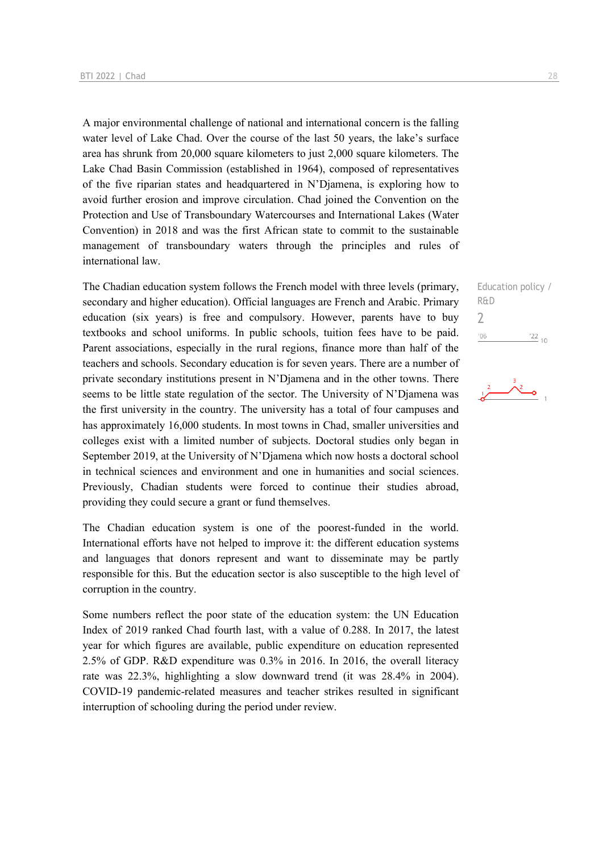A major environmental challenge of national and international concern is the falling water level of Lake Chad. Over the course of the last 50 years, the lake's surface area has shrunk from 20,000 square kilometers to just 2,000 square kilometers. The Lake Chad Basin Commission (established in 1964), composed of representatives of the five riparian states and headquartered in N'Djamena, is exploring how to avoid further erosion and improve circulation. Chad joined the Convention on the Protection and Use of Transboundary Watercourses and International Lakes (Water Convention) in 2018 and was the first African state to commit to the sustainable management of transboundary waters through the principles and rules of international law.

The Chadian education system follows the French model with three levels (primary, secondary and higher education). Official languages are French and Arabic. Primary education (six years) is free and compulsory. However, parents have to buy textbooks and school uniforms. In public schools, tuition fees have to be paid. Parent associations, especially in the rural regions, finance more than half of the teachers and schools. Secondary education is for seven years. There are a number of private secondary institutions present in N'Djamena and in the other towns. There seems to be little state regulation of the sector. The University of N'Djamena was the first university in the country. The university has a total of four campuses and has approximately 16,000 students. In most towns in Chad, smaller universities and colleges exist with a limited number of subjects. Doctoral studies only began in September 2019, at the University of N'Djamena which now hosts a doctoral school in technical sciences and environment and one in humanities and social sciences. Previously, Chadian students were forced to continue their studies abroad, providing they could secure a grant or fund themselves.

The Chadian education system is one of the poorest-funded in the world. International efforts have not helped to improve it: the different education systems and languages that donors represent and want to disseminate may be partly responsible for this. But the education sector is also susceptible to the high level of corruption in the country.

Some numbers reflect the poor state of the education system: the UN Education Index of 2019 ranked Chad fourth last, with a value of 0.288. In 2017, the latest year for which figures are available, public expenditure on education represented 2.5% of GDP. R&D expenditure was 0.3% in 2016. In 2016, the overall literacy rate was 22.3%, highlighting a slow downward trend (it was 28.4% in 2004). COVID-19 pandemic-related measures and teacher strikes resulted in significant interruption of schooling during the period under review.

Education policy / R&D  $\overline{\phantom{a}}$  $\frac{22}{10}$  $'06$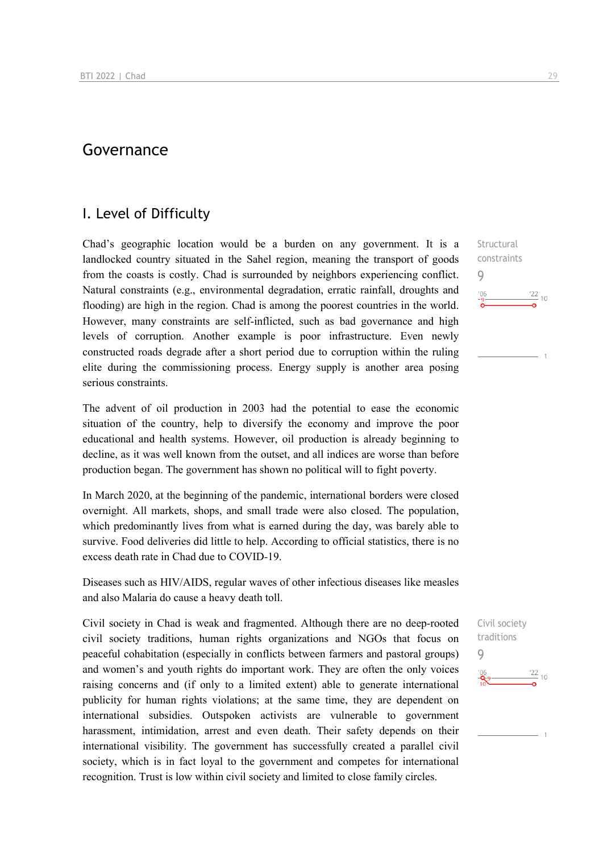## Governance

## I. Level of Difficulty

Chad's geographic location would be a burden on any government. It is a landlocked country situated in the Sahel region, meaning the transport of goods from the coasts is costly. Chad is surrounded by neighbors experiencing conflict. Natural constraints (e.g., environmental degradation, erratic rainfall, droughts and flooding) are high in the region. Chad is among the poorest countries in the world. However, many constraints are self-inflicted, such as bad governance and high levels of corruption. Another example is poor infrastructure. Even newly constructed roads degrade after a short period due to corruption within the ruling elite during the commissioning process. Energy supply is another area posing serious constraints.

The advent of oil production in 2003 had the potential to ease the economic situation of the country, help to diversify the economy and improve the poor educational and health systems. However, oil production is already beginning to decline, as it was well known from the outset, and all indices are worse than before production began. The government has shown no political will to fight poverty.

In March 2020, at the beginning of the pandemic, international borders were closed overnight. All markets, shops, and small trade were also closed. The population, which predominantly lives from what is earned during the day, was barely able to survive. Food deliveries did little to help. According to official statistics, there is no excess death rate in Chad due to COVID-19.

Diseases such as HIV/AIDS, regular waves of other infectious diseases like measles and also Malaria do cause a heavy death toll.

Civil society in Chad is weak and fragmented. Although there are no deep-rooted civil society traditions, human rights organizations and NGOs that focus on peaceful cohabitation (especially in conflicts between farmers and pastoral groups) and women's and youth rights do important work. They are often the only voices raising concerns and (if only to a limited extent) able to generate international publicity for human rights violations; at the same time, they are dependent on international subsidies. Outspoken activists are vulnerable to government harassment, intimidation, arrest and even death. Their safety depends on their international visibility. The government has successfully created a parallel civil society, which is in fact loyal to the government and competes for international recognition. Trust is low within civil society and limited to close family circles.

Structural constraints 9  $\frac{22}{10}$ 

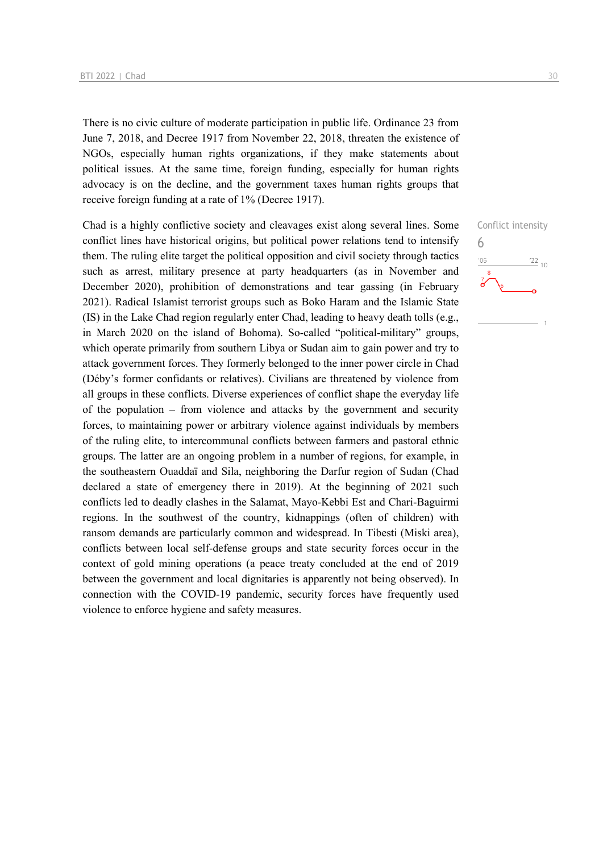There is no civic culture of moderate participation in public life. Ordinance 23 from June 7, 2018, and Decree 1917 from November 22, 2018, threaten the existence of NGOs, especially human rights organizations, if they make statements about political issues. At the same time, foreign funding, especially for human rights advocacy is on the decline, and the government taxes human rights groups that receive foreign funding at a rate of 1% (Decree 1917).

Chad is a highly conflictive society and cleavages exist along several lines. Some conflict lines have historical origins, but political power relations tend to intensify them. The ruling elite target the political opposition and civil society through tactics such as arrest, military presence at party headquarters (as in November and December 2020), prohibition of demonstrations and tear gassing (in February 2021). Radical Islamist terrorist groups such as Boko Haram and the Islamic State (IS) in the Lake Chad region regularly enter Chad, leading to heavy death tolls (e.g., in March 2020 on the island of Bohoma). So-called "political-military" groups, which operate primarily from southern Libya or Sudan aim to gain power and try to attack government forces. They formerly belonged to the inner power circle in Chad (Déby's former confidants or relatives). Civilians are threatened by violence from all groups in these conflicts. Diverse experiences of conflict shape the everyday life of the population – from violence and attacks by the government and security forces, to maintaining power or arbitrary violence against individuals by members of the ruling elite, to intercommunal conflicts between farmers and pastoral ethnic groups. The latter are an ongoing problem in a number of regions, for example, in the southeastern Ouaddaï and Sila, neighboring the Darfur region of Sudan (Chad declared a state of emergency there in 2019). At the beginning of 2021 such conflicts led to deadly clashes in the Salamat, Mayo-Kebbi Est and Chari-Baguirmi regions. In the southwest of the country, kidnappings (often of children) with ransom demands are particularly common and widespread. In Tibesti (Miski area), conflicts between local self-defense groups and state security forces occur in the context of gold mining operations (a peace treaty concluded at the end of 2019 between the government and local dignitaries is apparently not being observed). In connection with the COVID-19 pandemic, security forces have frequently used violence to enforce hygiene and safety measures.

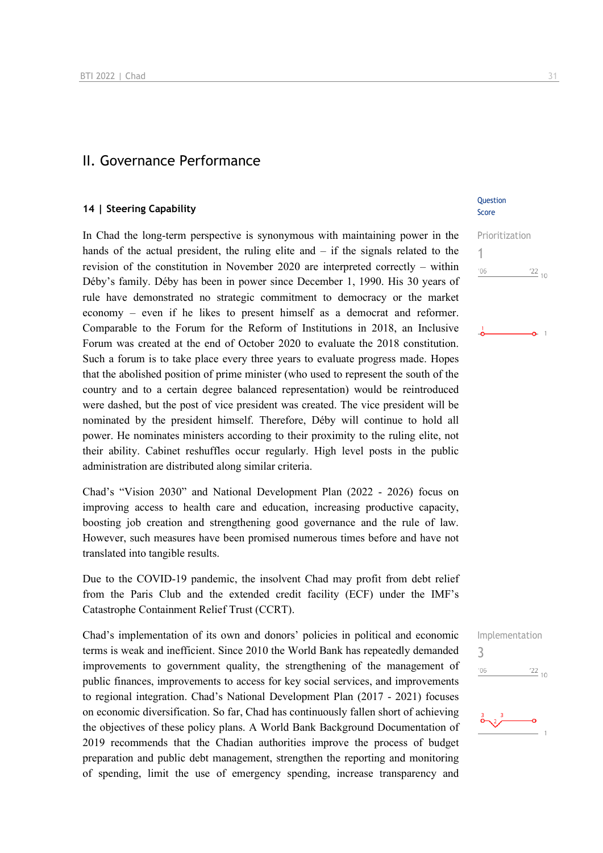### II. Governance Performance

#### **14 | Steering Capability**

In Chad the long-term perspective is synonymous with maintaining power in the hands of the actual president, the ruling elite and – if the signals related to the revision of the constitution in November 2020 are interpreted correctly – within Déby's family. Déby has been in power since December 1, 1990. His 30 years of rule have demonstrated no strategic commitment to democracy or the market economy – even if he likes to present himself as a democrat and reformer. Comparable to the Forum for the Reform of Institutions in 2018, an Inclusive Forum was created at the end of October 2020 to evaluate the 2018 constitution. Such a forum is to take place every three years to evaluate progress made. Hopes that the abolished position of prime minister (who used to represent the south of the country and to a certain degree balanced representation) would be reintroduced were dashed, but the post of vice president was created. The vice president will be nominated by the president himself. Therefore, Déby will continue to hold all power. He nominates ministers according to their proximity to the ruling elite, not their ability. Cabinet reshuffles occur regularly. High level posts in the public administration are distributed along similar criteria.

Chad's "Vision 2030" and National Development Plan (2022 - 2026) focus on improving access to health care and education, increasing productive capacity, boosting job creation and strengthening good governance and the rule of law. However, such measures have been promised numerous times before and have not translated into tangible results.

Due to the COVID-19 pandemic, the insolvent Chad may profit from debt relief from the Paris Club and the extended credit facility (ECF) under the IMF's Catastrophe Containment Relief Trust (CCRT).

Chad's implementation of its own and donors' policies in political and economic terms is weak and inefficient. Since 2010 the World Bank has repeatedly demanded improvements to government quality, the strengthening of the management of public finances, improvements to access for key social services, and improvements to regional integration. Chad's National Development Plan (2017 - 2021) focuses on economic diversification. So far, Chad has continuously fallen short of achieving the objectives of these policy plans. A World Bank Background Documentation of 2019 recommends that the Chadian authorities improve the process of budget preparation and public debt management, strengthen the reporting and monitoring of spending, limit the use of emergency spending, increase transparency and

#### **Ouestion** Score

Prioritization 1  $\frac{22}{10}$  $'06$ 



 $\frac{22}{10}$ 

 $106$ 

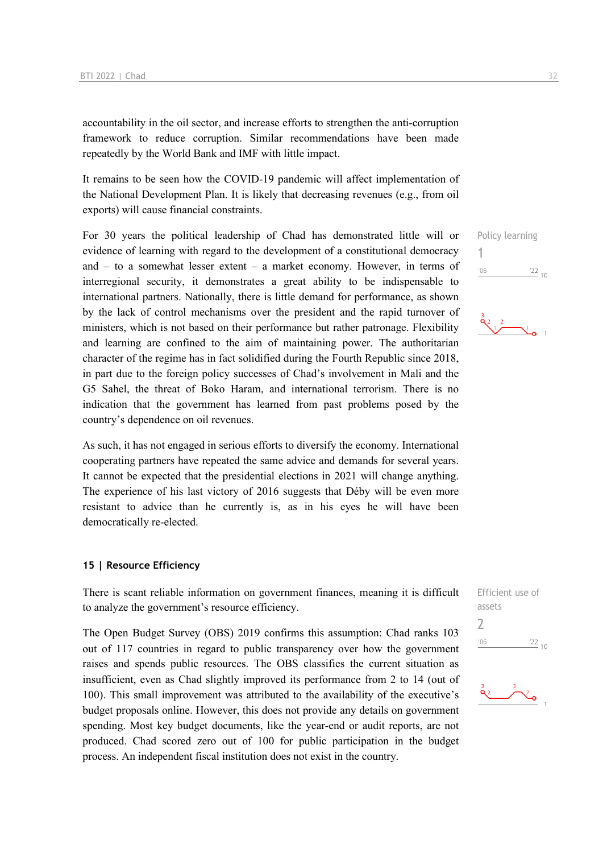accountability in the oil sector, and increase efforts to strengthen the anti-corruption framework to reduce corruption. Similar recommendations have been made repeatedly by the World Bank and IMF with little impact.

It remains to be seen how the COVID-19 pandemic will affect implementation of the National Development Plan. It is likely that decreasing revenues (e.g., from oil exports) will cause financial constraints.

For 30 years the political leadership of Chad has demonstrated little will or evidence of learning with regard to the development of a constitutional democracy and – to a somewhat lesser extent – a market economy. However, in terms of interregional security, it demonstrates a great ability to be indispensable to international partners. Nationally, there is little demand for performance, as shown by the lack of control mechanisms over the president and the rapid turnover of ministers, which is not based on their performance but rather patronage. Flexibility and learning are confined to the aim of maintaining power. The authoritarian character of the regime has in fact solidified during the Fourth Republic since 2018, in part due to the foreign policy successes of Chad's involvement in Mali and the G5 Sahel, the threat of Boko Haram, and international terrorism. There is no indication that the government has learned from past problems posed by the country's dependence on oil revenues.

As such, it has not engaged in serious efforts to diversify the economy. International cooperating partners have repeated the same advice and demands for several years. It cannot be expected that the presidential elections in 2021 will change anything. The experience of his last victory of 2016 suggests that Déby will be even more resistant to advice than he currently is, as in his eyes he will have been democratically re-elected.

#### **15 | Resource Efficiency**

There is scant reliable information on government finances, meaning it is difficult to analyze the government's resource efficiency.

The Open Budget Survey (OBS) 2019 confirms this assumption: Chad ranks 103 out of 117 countries in regard to public transparency over how the government raises and spends public resources. The OBS classifies the current situation as insufficient, even as Chad slightly improved its performance from 2 to 14 (out of 100). This small improvement was attributed to the availability of the executive's budget proposals online. However, this does not provide any details on government spending. Most key budget documents, like the year-end or audit reports, are not produced. Chad scored zero out of 100 for public participation in the budget process. An independent fiscal institution does not exist in the country.

Policy learning 1  $\frac{22}{10}$  $'06$ 



| Efficient use of |         |  |
|------------------|---------|--|
| assets           |         |  |
| $\overline{1}$   |         |  |
| '06              | $'22$ , |  |
|                  |         |  |

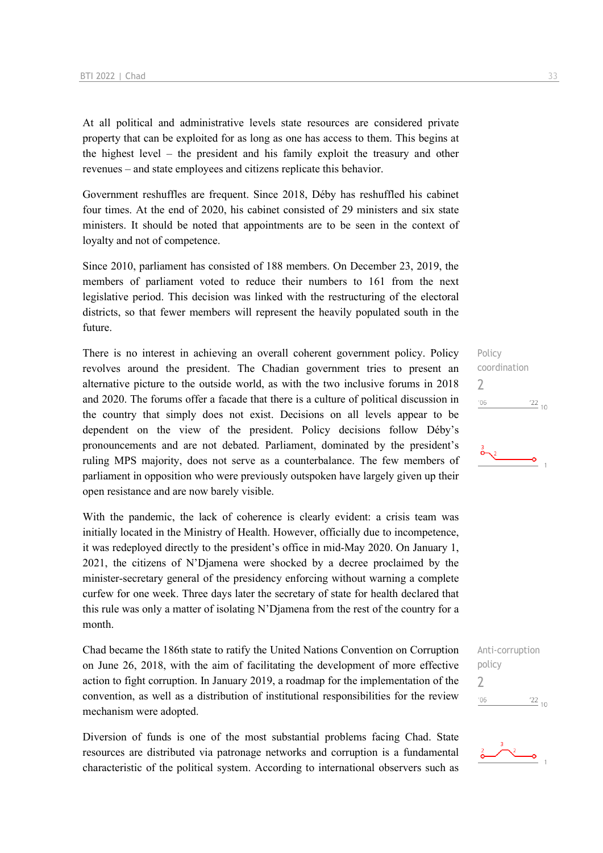At all political and administrative levels state resources are considered private property that can be exploited for as long as one has access to them. This begins at the highest level – the president and his family exploit the treasury and other revenues – and state employees and citizens replicate this behavior.

Government reshuffles are frequent. Since 2018, Déby has reshuffled his cabinet four times. At the end of 2020, his cabinet consisted of 29 ministers and six state ministers. It should be noted that appointments are to be seen in the context of loyalty and not of competence.

Since 2010, parliament has consisted of 188 members. On December 23, 2019, the members of parliament voted to reduce their numbers to 161 from the next legislative period. This decision was linked with the restructuring of the electoral districts, so that fewer members will represent the heavily populated south in the future.

There is no interest in achieving an overall coherent government policy. Policy revolves around the president. The Chadian government tries to present an alternative picture to the outside world, as with the two inclusive forums in 2018 and 2020. The forums offer a facade that there is a culture of political discussion in the country that simply does not exist. Decisions on all levels appear to be dependent on the view of the president. Policy decisions follow Déby's pronouncements and are not debated. Parliament, dominated by the president's ruling MPS majority, does not serve as a counterbalance. The few members of parliament in opposition who were previously outspoken have largely given up their open resistance and are now barely visible.

With the pandemic, the lack of coherence is clearly evident: a crisis team was initially located in the Ministry of Health. However, officially due to incompetence, it was redeployed directly to the president's office in mid-May 2020. On January 1, 2021, the citizens of N'Djamena were shocked by a decree proclaimed by the minister-secretary general of the presidency enforcing without warning a complete curfew for one week. Three days later the secretary of state for health declared that this rule was only a matter of isolating N'Djamena from the rest of the country for a month.

Chad became the 186th state to ratify the United Nations Convention on Corruption on June 26, 2018, with the aim of facilitating the development of more effective action to fight corruption. In January 2019, a roadmap for the implementation of the convention, as well as a distribution of institutional responsibilities for the review mechanism were adopted.

Diversion of funds is one of the most substantial problems facing Chad. State resources are distributed via patronage networks and corruption is a fundamental characteristic of the political system. According to international observers such as Policy coordination  $\overline{\phantom{0}}$  $\frac{22}{10}$  $106$ 



Anti-corruption policy 2 $\frac{22}{10}$  $'06$ 

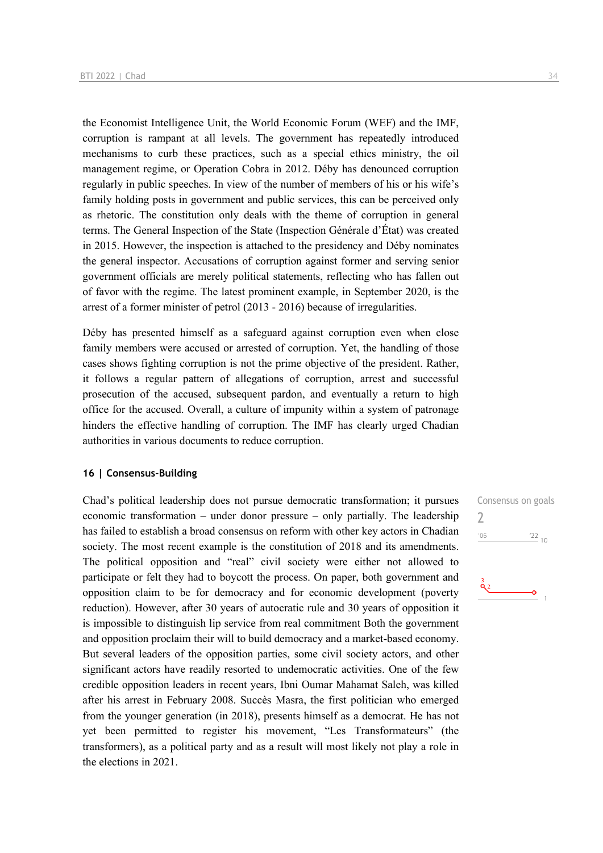the Economist Intelligence Unit, the World Economic Forum (WEF) and the IMF, corruption is rampant at all levels. The government has repeatedly introduced mechanisms to curb these practices, such as a special ethics ministry, the oil management regime, or Operation Cobra in 2012. Déby has denounced corruption regularly in public speeches. In view of the number of members of his or his wife's family holding posts in government and public services, this can be perceived only as rhetoric. The constitution only deals with the theme of corruption in general terms. The General Inspection of the State (Inspection Générale d'État) was created in 2015. However, the inspection is attached to the presidency and Déby nominates the general inspector. Accusations of corruption against former and serving senior government officials are merely political statements, reflecting who has fallen out of favor with the regime. The latest prominent example, in September 2020, is the arrest of a former minister of petrol (2013 - 2016) because of irregularities.

Déby has presented himself as a safeguard against corruption even when close family members were accused or arrested of corruption. Yet, the handling of those cases shows fighting corruption is not the prime objective of the president. Rather, it follows a regular pattern of allegations of corruption, arrest and successful prosecution of the accused, subsequent pardon, and eventually a return to high office for the accused. Overall, a culture of impunity within a system of patronage hinders the effective handling of corruption. The IMF has clearly urged Chadian authorities in various documents to reduce corruption.

#### **16 | Consensus-Building**

Chad's political leadership does not pursue democratic transformation; it pursues economic transformation – under donor pressure – only partially. The leadership has failed to establish a broad consensus on reform with other key actors in Chadian society. The most recent example is the constitution of 2018 and its amendments. The political opposition and "real" civil society were either not allowed to participate or felt they had to boycott the process. On paper, both government and opposition claim to be for democracy and for economic development (poverty reduction). However, after 30 years of autocratic rule and 30 years of opposition it is impossible to distinguish lip service from real commitment Both the government and opposition proclaim their will to build democracy and a market-based economy. But several leaders of the opposition parties, some civil society actors, and other significant actors have readily resorted to undemocratic activities. One of the few credible opposition leaders in recent years, Ibni Oumar Mahamat Saleh, was killed after his arrest in February 2008. Succès Masra, the first politician who emerged from the younger generation (in 2018), presents himself as a democrat. He has not yet been permitted to register his movement, "Les Transformateurs" (the transformers), as a political party and as a result will most likely not play a role in the elections in 2021.

Consensus on goals  $\overline{\phantom{0}}$  $^{\prime}06$  $\frac{22}{10}$ 

۰Ó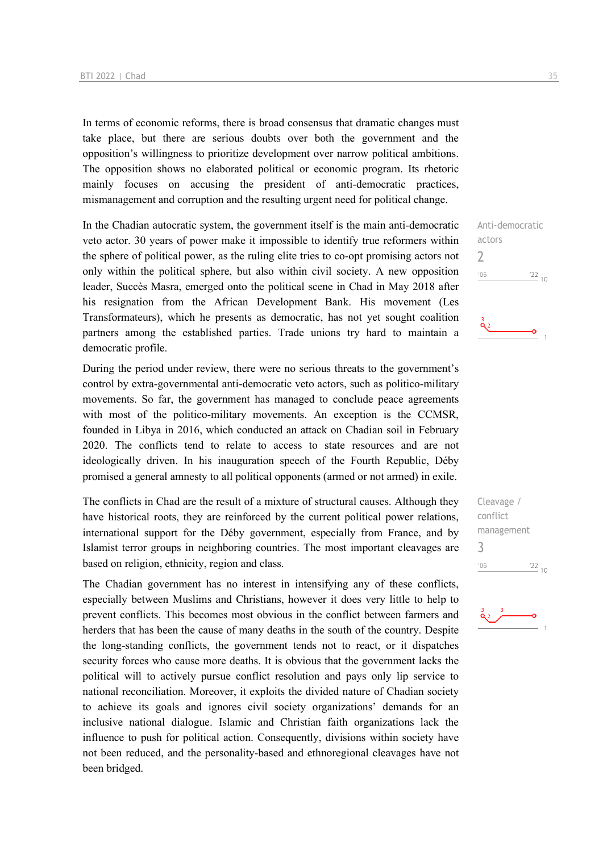In terms of economic reforms, there is broad consensus that dramatic changes must take place, but there are serious doubts over both the government and the opposition's willingness to prioritize development over narrow political ambitions. The opposition shows no elaborated political or economic program. Its rhetoric mainly focuses on accusing the president of anti-democratic practices, mismanagement and corruption and the resulting urgent need for political change.

In the Chadian autocratic system, the government itself is the main anti-democratic veto actor. 30 years of power make it impossible to identify true reformers within the sphere of political power, as the ruling elite tries to co-opt promising actors not only within the political sphere, but also within civil society. A new opposition leader, Succès Masra, emerged onto the political scene in Chad in May 2018 after his resignation from the African Development Bank. His movement (Les Transformateurs), which he presents as democratic, has not yet sought coalition partners among the established parties. Trade unions try hard to maintain a democratic profile.

During the period under review, there were no serious threats to the government's control by extra-governmental anti-democratic veto actors, such as politico-military movements. So far, the government has managed to conclude peace agreements with most of the politico-military movements. An exception is the CCMSR, founded in Libya in 2016, which conducted an attack on Chadian soil in February 2020. The conflicts tend to relate to access to state resources and are not ideologically driven. In his inauguration speech of the Fourth Republic, Déby promised a general amnesty to all political opponents (armed or not armed) in exile.

The conflicts in Chad are the result of a mixture of structural causes. Although they have historical roots, they are reinforced by the current political power relations, international support for the Déby government, especially from France, and by Islamist terror groups in neighboring countries. The most important cleavages are based on religion, ethnicity, region and class.

The Chadian government has no interest in intensifying any of these conflicts, especially between Muslims and Christians, however it does very little to help to prevent conflicts. This becomes most obvious in the conflict between farmers and herders that has been the cause of many deaths in the south of the country. Despite the long-standing conflicts, the government tends not to react, or it dispatches security forces who cause more deaths. It is obvious that the government lacks the political will to actively pursue conflict resolution and pays only lip service to national reconciliation. Moreover, it exploits the divided nature of Chadian society to achieve its goals and ignores civil society organizations' demands for an inclusive national dialogue. Islamic and Christian faith organizations lack the influence to push for political action. Consequently, divisions within society have not been reduced, and the personality-based and ethnoregional cleavages have not been bridged.

Anti-democratic actors 2  $-06$  $122_{10}$ 

-O



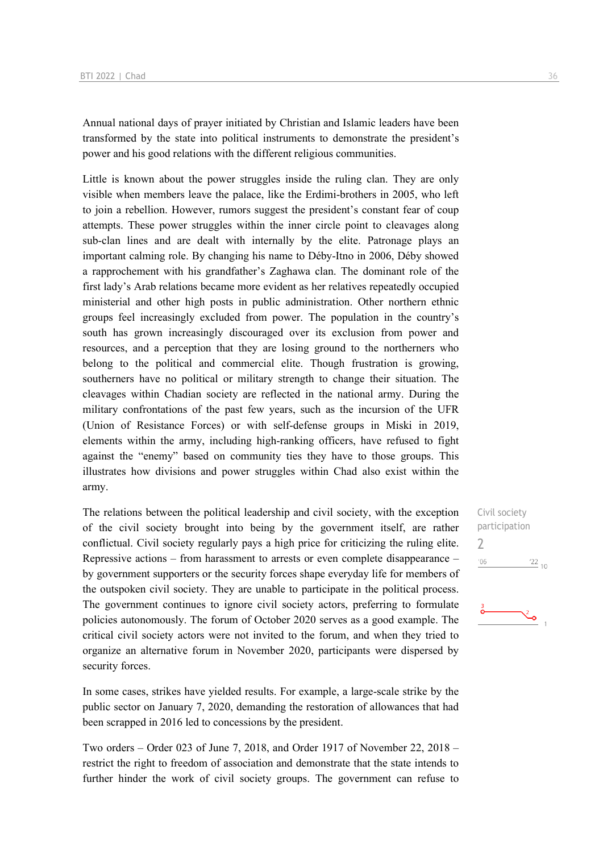Annual national days of prayer initiated by Christian and Islamic leaders have been transformed by the state into political instruments to demonstrate the president's power and his good relations with the different religious communities.

Little is known about the power struggles inside the ruling clan. They are only visible when members leave the palace, like the Erdimi-brothers in 2005, who left to join a rebellion. However, rumors suggest the president's constant fear of coup attempts. These power struggles within the inner circle point to cleavages along sub-clan lines and are dealt with internally by the elite. Patronage plays an important calming role. By changing his name to Déby-Itno in 2006, Déby showed a rapprochement with his grandfather's Zaghawa clan. The dominant role of the first lady's Arab relations became more evident as her relatives repeatedly occupied ministerial and other high posts in public administration. Other northern ethnic groups feel increasingly excluded from power. The population in the country's south has grown increasingly discouraged over its exclusion from power and resources, and a perception that they are losing ground to the northerners who belong to the political and commercial elite. Though frustration is growing, southerners have no political or military strength to change their situation. The cleavages within Chadian society are reflected in the national army. During the military confrontations of the past few years, such as the incursion of the UFR (Union of Resistance Forces) or with self-defense groups in Miski in 2019, elements within the army, including high-ranking officers, have refused to fight against the "enemy" based on community ties they have to those groups. This illustrates how divisions and power struggles within Chad also exist within the army.

The relations between the political leadership and civil society, with the exception of the civil society brought into being by the government itself, are rather conflictual. Civil society regularly pays a high price for criticizing the ruling elite. Repressive actions – from harassment to arrests or even complete disappearance – by government supporters or the security forces shape everyday life for members of the outspoken civil society. They are unable to participate in the political process. The government continues to ignore civil society actors, preferring to formulate policies autonomously. The forum of October 2020 serves as a good example. The critical civil society actors were not invited to the forum, and when they tried to organize an alternative forum in November 2020, participants were dispersed by security forces.

In some cases, strikes have yielded results. For example, a large-scale strike by the public sector on January 7, 2020, demanding the restoration of allowances that had been scrapped in 2016 led to concessions by the president.

Two orders – Order 023 of June 7, 2018, and Order 1917 of November 22, 2018 – restrict the right to freedom of association and demonstrate that the state intends to further hinder the work of civil society groups. The government can refuse to

Civil society participation 2 $'06$  $\frac{22}{10}$ 

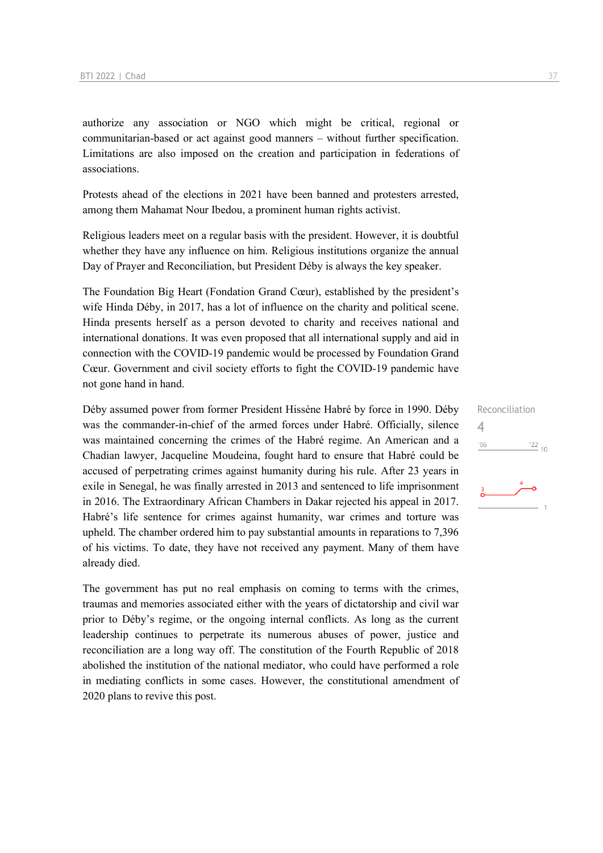authorize any association or NGO which might be critical, regional or communitarian-based or act against good manners – without further specification. Limitations are also imposed on the creation and participation in federations of associations.

Protests ahead of the elections in 2021 have been banned and protesters arrested, among them Mahamat Nour Ibedou, a prominent human rights activist.

Religious leaders meet on a regular basis with the president. However, it is doubtful whether they have any influence on him. Religious institutions organize the annual Day of Prayer and Reconciliation, but President Déby is always the key speaker.

The Foundation Big Heart (Fondation Grand Cœur), established by the president's wife Hinda Déby, in 2017, has a lot of influence on the charity and political scene. Hinda presents herself as a person devoted to charity and receives national and international donations. It was even proposed that all international supply and aid in connection with the COVID-19 pandemic would be processed by Foundation Grand Cœur. Government and civil society efforts to fight the COVID-19 pandemic have not gone hand in hand.

Déby assumed power from former President Hissène Habré by force in 1990. Déby was the commander-in-chief of the armed forces under Habré. Officially, silence was maintained concerning the crimes of the Habré regime. An American and a Chadian lawyer, Jacqueline Moudeina, fought hard to ensure that Habré could be accused of perpetrating crimes against humanity during his rule. After 23 years in exile in Senegal, he was finally arrested in 2013 and sentenced to life imprisonment in 2016. The Extraordinary African Chambers in Dakar rejected his appeal in 2017. Habré's life sentence for crimes against humanity, war crimes and torture was upheld. The chamber ordered him to pay substantial amounts in reparations to 7,396 of his victims. To date, they have not received any payment. Many of them have already died.

The government has put no real emphasis on coming to terms with the crimes, traumas and memories associated either with the years of dictatorship and civil war prior to Déby's regime, or the ongoing internal conflicts. As long as the current leadership continues to perpetrate its numerous abuses of power, justice and reconciliation are a long way off. The constitution of the Fourth Republic of 2018 abolished the institution of the national mediator, who could have performed a role in mediating conflicts in some cases. However, the constitutional amendment of 2020 plans to revive this post.

Reconciliation 4 $106$  $\frac{22}{10}$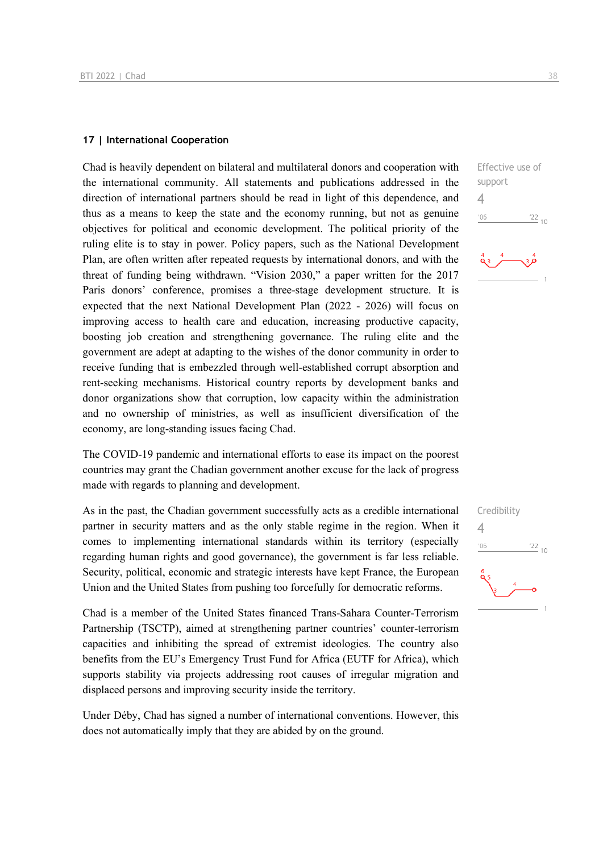#### **17 | International Cooperation**

Chad is heavily dependent on bilateral and multilateral donors and cooperation with the international community. All statements and publications addressed in the direction of international partners should be read in light of this dependence, and thus as a means to keep the state and the economy running, but not as genuine objectives for political and economic development. The political priority of the ruling elite is to stay in power. Policy papers, such as the National Development Plan, are often written after repeated requests by international donors, and with the threat of funding being withdrawn. "Vision 2030," a paper written for the 2017 Paris donors' conference, promises a three-stage development structure. It is expected that the next National Development Plan (2022 - 2026) will focus on improving access to health care and education, increasing productive capacity, boosting job creation and strengthening governance. The ruling elite and the government are adept at adapting to the wishes of the donor community in order to receive funding that is embezzled through well-established corrupt absorption and rent-seeking mechanisms. Historical country reports by development banks and donor organizations show that corruption, low capacity within the administration and no ownership of ministries, as well as insufficient diversification of the economy, are long-standing issues facing Chad.

The COVID-19 pandemic and international efforts to ease its impact on the poorest countries may grant the Chadian government another excuse for the lack of progress made with regards to planning and development.

As in the past, the Chadian government successfully acts as a credible international partner in security matters and as the only stable regime in the region. When it comes to implementing international standards within its territory (especially regarding human rights and good governance), the government is far less reliable. Security, political, economic and strategic interests have kept France, the European Union and the United States from pushing too forcefully for democratic reforms.

Chad is a member of the United States financed Trans-Sahara Counter-Terrorism Partnership (TSCTP), aimed at strengthening partner countries' counter-terrorism capacities and inhibiting the spread of extremist ideologies. The country also benefits from the EU's Emergency Trust Fund for Africa (EUTF for Africa), which supports stability via projects addressing root causes of irregular migration and displaced persons and improving security inside the territory.

Under Déby, Chad has signed a number of international conventions. However, this does not automatically imply that they are abided by on the ground.



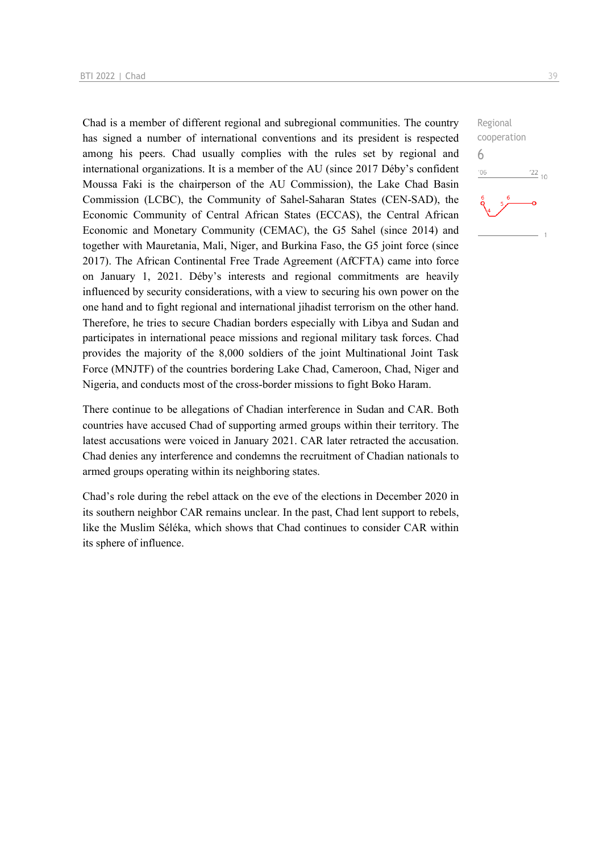Chad is a member of different regional and subregional communities. The country has signed a number of international conventions and its president is respected among his peers. Chad usually complies with the rules set by regional and international organizations. It is a member of the AU (since 2017 Déby's confident Moussa Faki is the chairperson of the AU Commission), the Lake Chad Basin Commission (LCBC), the Community of Sahel-Saharan States (CEN-SAD), the Economic Community of Central African States (ECCAS), the Central African Economic and Monetary Community (CEMAC), the G5 Sahel (since 2014) and together with Mauretania, Mali, Niger, and Burkina Faso, the G5 joint force (since 2017). The African Continental Free Trade Agreement (AfCFTA) came into force on January 1, 2021. Déby's interests and regional commitments are heavily influenced by security considerations, with a view to securing his own power on the one hand and to fight regional and international jihadist terrorism on the other hand. Therefore, he tries to secure Chadian borders especially with Libya and Sudan and participates in international peace missions and regional military task forces. Chad provides the majority of the 8,000 soldiers of the joint Multinational Joint Task Force (MNJTF) of the countries bordering Lake Chad, Cameroon, Chad, Niger and Nigeria, and conducts most of the cross-border missions to fight Boko Haram.

There continue to be allegations of Chadian interference in Sudan and CAR. Both countries have accused Chad of supporting armed groups within their territory. The latest accusations were voiced in January 2021. CAR later retracted the accusation. Chad denies any interference and condemns the recruitment of Chadian nationals to armed groups operating within its neighboring states.

Chad's role during the rebel attack on the eve of the elections in December 2020 in its southern neighbor CAR remains unclear. In the past, Chad lent support to rebels, like the Muslim Séléka, which shows that Chad continues to consider CAR within its sphere of influence.

Regional cooperation 6 $-06$  $^{22}$  10